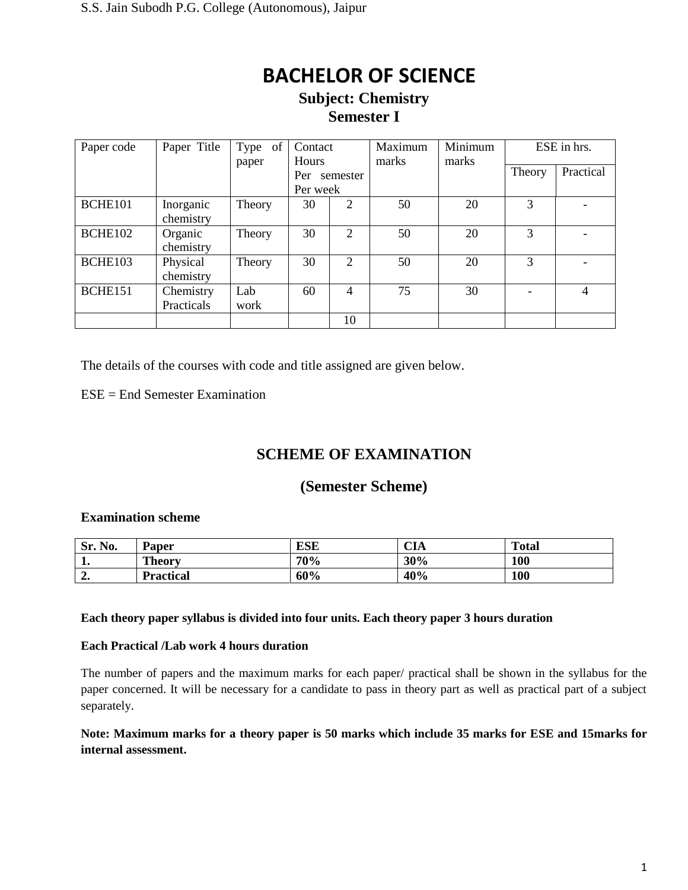### **Subject: Chemistry Semester I**

| Paper code | Paper Title             | Type of<br>paper | Contact<br><b>Hours</b> |                | Maximum<br>marks | Minimum<br>marks |        | ESE in hrs. |  |
|------------|-------------------------|------------------|-------------------------|----------------|------------------|------------------|--------|-------------|--|
|            |                         |                  | Per<br>Per week         | semester       |                  |                  | Theory | Practical   |  |
| BCHE101    | Inorganic<br>chemistry  | Theory           | 30                      | $\overline{2}$ | 50               | 20               | 3      |             |  |
| BCHE102    | Organic<br>chemistry    | Theory           | 30                      | $\overline{2}$ | 50               | 20               | 3      |             |  |
| BCHE103    | Physical<br>chemistry   | Theory           | 30                      | 2              | 50               | 20               | 3      |             |  |
| BCHE151    | Chemistry<br>Practicals | Lab<br>work      | 60                      | $\overline{4}$ | 75               | 30               |        | 4           |  |
|            |                         |                  |                         | 10             |                  |                  |        |             |  |

The details of the courses with code and title assigned are given below.

ESE = End Semester Examination

## **SCHEME OF EXAMINATION**

### **(Semester Scheme)**

#### **Examination scheme**

| No.<br>Sr.   | Paper            | ESE | <b>CIA</b> | <b>Total</b> |
|--------------|------------------|-----|------------|--------------|
| . .          | <b>Theory</b>    | 70% | 30%        | 100          |
| $\sim$<br>∸• | <b>Practical</b> | 60% | 40%        | 100          |

#### **Each theory paper syllabus is divided into four units. Each theory paper 3 hours duration**

#### **Each Practical /Lab work 4 hours duration**

The number of papers and the maximum marks for each paper/ practical shall be shown in the syllabus for the paper concerned. It will be necessary for a candidate to pass in theory part as well as practical part of a subject separately.

#### **Note: Maximum marks for a theory paper is 50 marks which include 35 marks for ESE and 15marks for internal assessment.**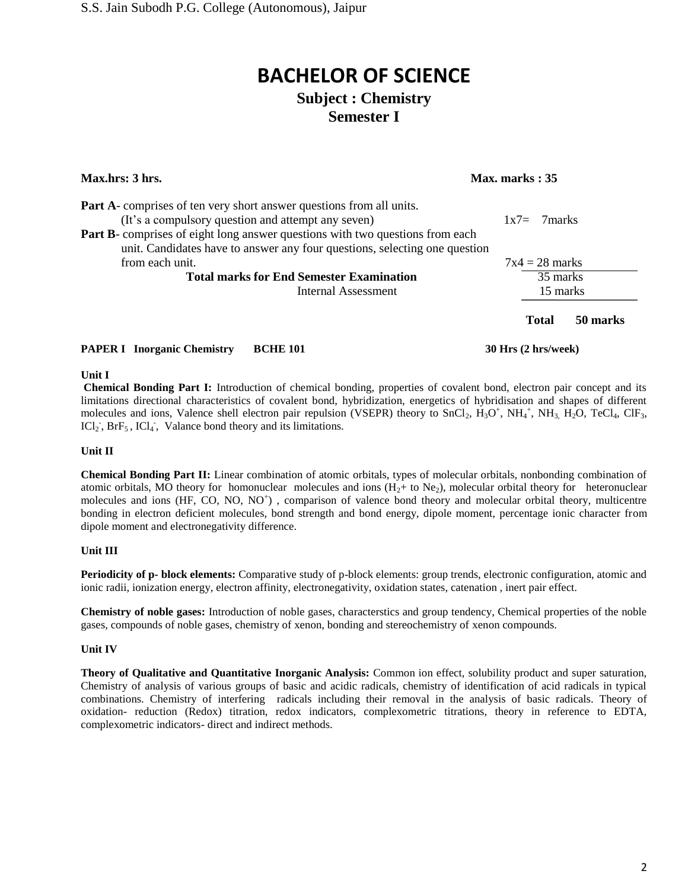## **BACHELOR OF SCIENCE Subject : Chemistry**

## **Semester I**

| Max.hrs: 3 hrs.<br>Max. marks: 35                                                                                                                                  |  |                  |          |
|--------------------------------------------------------------------------------------------------------------------------------------------------------------------|--|------------------|----------|
| <b>Part A-</b> comprises of ten very short answer questions from all units.<br>(It's a compulsory question and attempt any seven)                                  |  | $1x7 = 7$ marks  |          |
| <b>Part B</b> -comprises of eight long answer questions with two questions from each<br>unit. Candidates have to answer any four questions, selecting one question |  |                  |          |
| from each unit.                                                                                                                                                    |  | $7x4 = 28$ marks |          |
| <b>Total marks for End Semester Examination</b>                                                                                                                    |  | 35 marks         |          |
| Internal Assessment                                                                                                                                                |  | 15 marks         |          |
|                                                                                                                                                                    |  | <b>Total</b>     | 50 marks |
|                                                                                                                                                                    |  |                  |          |

## **PAPER I Inorganic Chemistry BCHE 101 30 Hrs (2 hrs/week)**

#### **Unit I**

**Chemical Bonding Part I:** Introduction of chemical bonding, properties of covalent bond, electron pair concept and its limitations directional characteristics of covalent bond, hybridization, energetics of hybridisation and shapes of different molecules and ions, Valence shell electron pair repulsion (VSEPR) theory to SnCl<sub>2</sub>,  $H_3O^+$ , NH<sub>4</sub><sup>+</sup>, NH<sub>3</sub>, H<sub>2</sub>O, TeCl<sub>4</sub>, ClF<sub>3</sub>,  $ICl<sub>2</sub>$ ,  $BrF<sub>5</sub>$ ,  $ICl<sub>4</sub>$ , Valance bond theory and its limitations.

#### **Unit II**

**Chemical Bonding Part II:** Linear combination of atomic orbitals, types of molecular orbitals, nonbonding combination of atomic orbitals, MO theory for homonuclear molecules and ions  $(H<sub>2</sub>+$  to Ne<sub>2</sub>), molecular orbital theory for heteronuclear molecules and ions (HF, CO, NO, NO<sup>+</sup>), comparison of valence bond theory and molecular orbital theory, multicentre bonding in electron deficient molecules, bond strength and bond energy, dipole moment, percentage ionic character from dipole moment and electronegativity difference.

#### **Unit III**

**Periodicity of p- block elements:** Comparative study of p-block elements: group trends, electronic configuration, atomic and ionic radii, ionization energy, electron affinity, electronegativity, oxidation states, catenation , inert pair effect.

**Chemistry of noble gases:** Introduction of noble gases, characterstics and group tendency, Chemical properties of the noble gases, compounds of noble gases, chemistry of xenon, bonding and stereochemistry of xenon compounds.

#### **Unit IV**

**Theory of Qualitative and Quantitative Inorganic Analysis:** Common ion effect, solubility product and super saturation, Chemistry of analysis of various groups of basic and acidic radicals, chemistry of identification of acid radicals in typical combinations. Chemistry of interfering radicals including their removal in the analysis of basic radicals. Theory of oxidation- reduction (Redox) titration, redox indicators, complexometric titrations, theory in reference to EDTA, complexometric indicators- direct and indirect methods.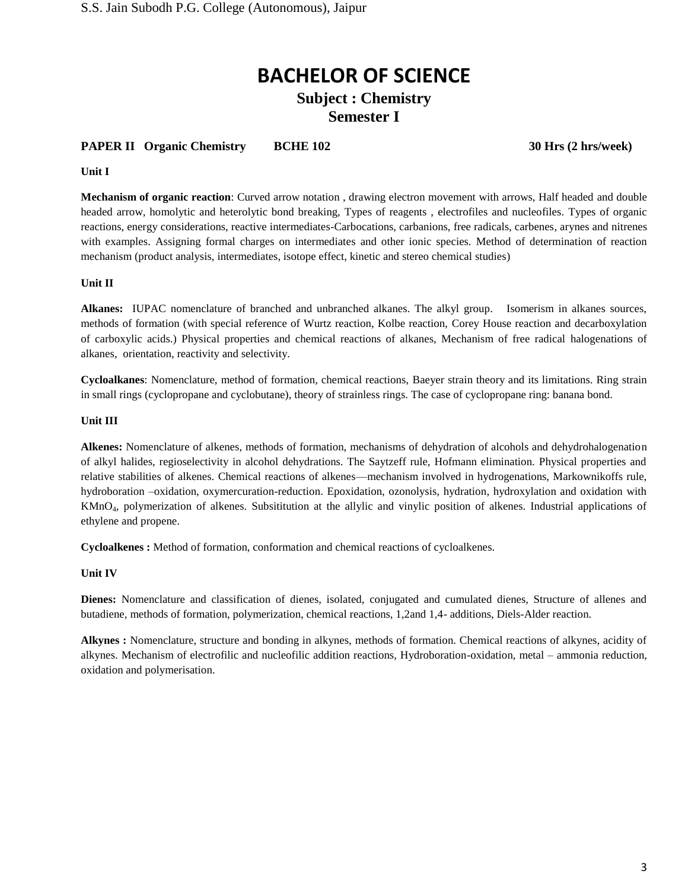### **Subject : Chemistry Semester I**

#### **PAPER II** Organic Chemistry BCHE 102 30 Hrs (2 hrs/week)

#### **Unit I**

**Mechanism of organic reaction**: Curved arrow notation , drawing electron movement with arrows, Half headed and double headed arrow, homolytic and heterolytic bond breaking, Types of reagents , electrofiles and nucleofiles. Types of organic reactions, energy considerations, reactive intermediates-Carbocations, carbanions, free radicals, carbenes, arynes and nitrenes with examples. Assigning formal charges on intermediates and other ionic species. Method of determination of reaction mechanism (product analysis, intermediates, isotope effect, kinetic and stereo chemical studies)

#### **Unit II**

**Alkanes:** IUPAC nomenclature of branched and unbranched alkanes. The alkyl group. Isomerism in alkanes sources, methods of formation (with special reference of Wurtz reaction, Kolbe reaction, Corey House reaction and decarboxylation of carboxylic acids.) Physical properties and chemical reactions of alkanes, Mechanism of free radical halogenations of alkanes, orientation, reactivity and selectivity.

**Cycloalkanes**: Nomenclature, method of formation, chemical reactions, Baeyer strain theory and its limitations. Ring strain in small rings (cyclopropane and cyclobutane), theory of strainless rings. The case of cyclopropane ring: banana bond.

#### **Unit III**

**Alkenes:** Nomenclature of alkenes, methods of formation, mechanisms of dehydration of alcohols and dehydrohalogenation of alkyl halides, regioselectivity in alcohol dehydrations. The Saytzeff rule, Hofmann elimination. Physical properties and relative stabilities of alkenes. Chemical reactions of alkenes—mechanism involved in hydrogenations, Markownikoffs rule, hydroboration –oxidation, oxymercuration-reduction. Epoxidation, ozonolysis, hydration, hydroxylation and oxidation with KMnO4, polymerization of alkenes. Subsititution at the allylic and vinylic position of alkenes. Industrial applications of ethylene and propene.

**Cycloalkenes :** Method of formation, conformation and chemical reactions of cycloalkenes.

#### **Unit IV**

**Dienes:** Nomenclature and classification of dienes, isolated, conjugated and cumulated dienes, Structure of allenes and butadiene, methods of formation, polymerization, chemical reactions, 1,2and 1,4- additions, Diels-Alder reaction.

**Alkynes :** Nomenclature, structure and bonding in alkynes, methods of formation. Chemical reactions of alkynes, acidity of alkynes. Mechanism of electrofilic and nucleofilic addition reactions, Hydroboration-oxidation, metal – ammonia reduction, oxidation and polymerisation.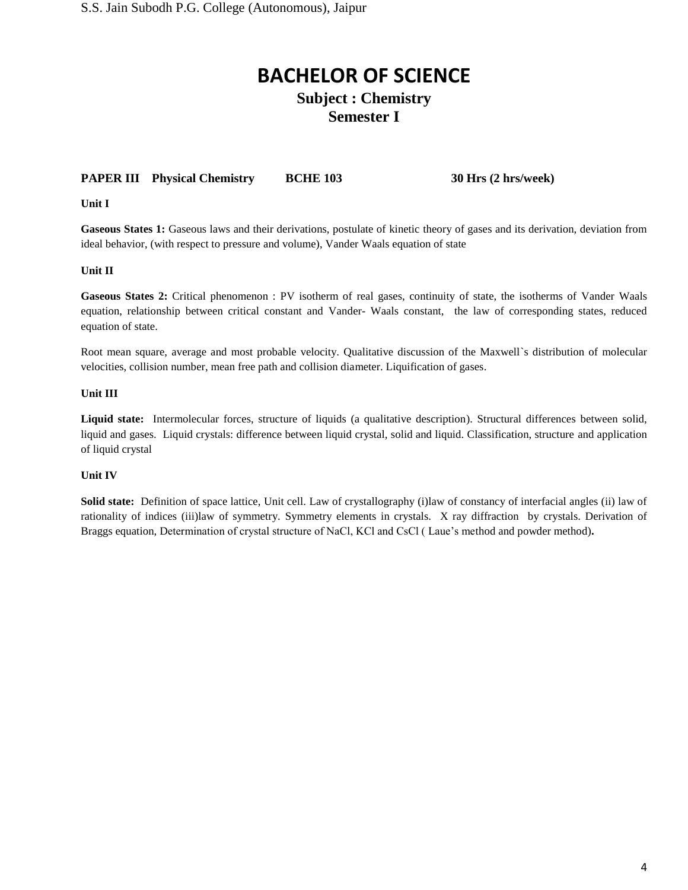### **Subject : Chemistry Semester I**

#### **PAPER III Physical Chemistry BCHE 103 30 Hrs (2 hrs/week)**

**Unit I**

**Gaseous States 1:** Gaseous laws and their derivations, postulate of kinetic theory of gases and its derivation, deviation from ideal behavior, (with respect to pressure and volume), Vander Waals equation of state

**Unit II**

**Gaseous States 2:** Critical phenomenon : PV isotherm of real gases, continuity of state, the isotherms of Vander Waals equation, relationship between critical constant and Vander- Waals constant, the law of corresponding states, reduced equation of state.

Root mean square, average and most probable velocity. Qualitative discussion of the Maxwell`s distribution of molecular velocities, collision number, mean free path and collision diameter. Liquification of gases.

#### **Unit III**

**Liquid state:** Intermolecular forces, structure of liquids (a qualitative description). Structural differences between solid, liquid and gases. Liquid crystals: difference between liquid crystal, solid and liquid. Classification, structure and application of liquid crystal

#### **Unit IV**

**Solid state:** Definition of space lattice, Unit cell. Law of crystallography (i)law of constancy of interfacial angles (ii) law of rationality of indices (iii)law of symmetry. Symmetry elements in crystals. X ray diffraction by crystals. Derivation of Braggs equation, Determination of crystal structure of NaCl, KCl and CsCl ( Laue's method and powder method)**.**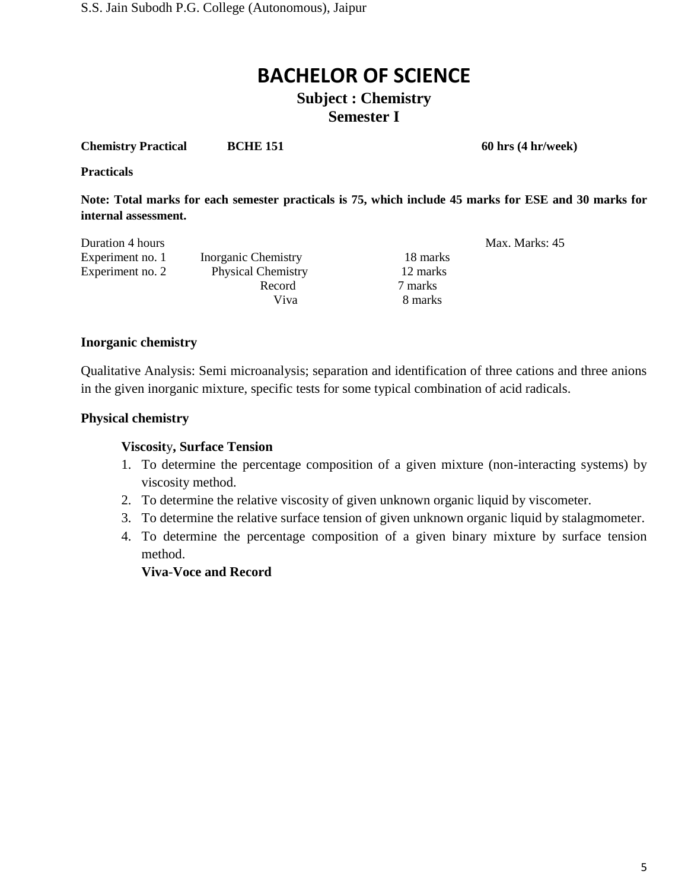### **Subject : Chemistry Semester I**

**Chemistry Practical BCHE 151** 60 hrs (4 hr/week)

**Practicals** 

**Note: Total marks for each semester practicals is 75, which include 45 marks for ESE and 30 marks for internal assessment.**

| Duration 4 hours |                           |          | Max. Marks: 45 |
|------------------|---------------------------|----------|----------------|
| Experiment no. 1 | Inorganic Chemistry       | 18 marks |                |
| Experiment no. 2 | <b>Physical Chemistry</b> | 12 marks |                |
|                  | Record                    | 7 marks  |                |
|                  | Viva                      | 8 marks  |                |

#### **Inorganic chemistry**

Qualitative Analysis: Semi microanalysis; separation and identification of three cations and three anions in the given inorganic mixture, specific tests for some typical combination of acid radicals.

#### **Physical chemistry**

#### **Viscosit**y**, Surface Tension**

- 1. To determine the percentage composition of a given mixture (non-interacting systems) by viscosity method.
- 2. To determine the relative viscosity of given unknown organic liquid by viscometer.
- 3. To determine the relative surface tension of given unknown organic liquid by stalagmometer.
- 4. To determine the percentage composition of a given binary mixture by surface tension method.

#### **Viva**-**Voce and Record**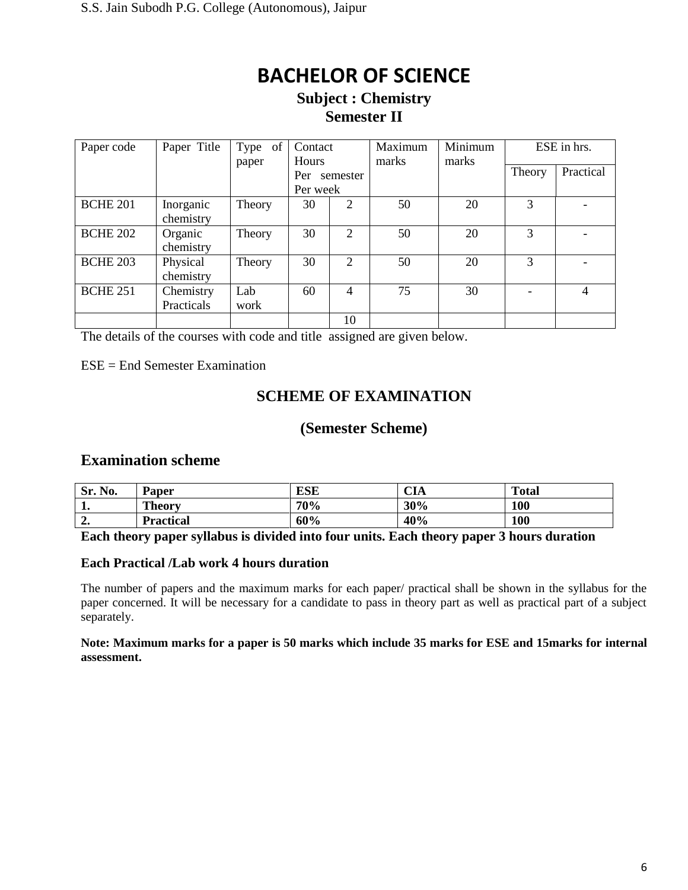### **Subject : Chemistry Semester II**

| Paper code      | Paper Title             | of<br>Type<br>paper | Contact<br><b>Hours</b> |                | Minimum<br>Maximum<br>marks<br>marks |    | ESE in hrs. |           |
|-----------------|-------------------------|---------------------|-------------------------|----------------|--------------------------------------|----|-------------|-----------|
|                 |                         |                     | Per<br>Per week         | semester       |                                      |    | Theory      | Practical |
| <b>BCHE 201</b> | Inorganic<br>chemistry  | Theory              | 30                      | $\overline{2}$ | 50                                   | 20 | 3           |           |
| <b>BCHE 202</b> | Organic<br>chemistry    | Theory              | 30                      | $\overline{2}$ | 50                                   | 20 | 3           |           |
| <b>BCHE 203</b> | Physical<br>chemistry   | Theory              | 30                      | 2              | 50                                   | 20 | 3           |           |
| <b>BCHE 251</b> | Chemistry<br>Practicals | Lab<br>work         | 60                      | 4              | 75                                   | 30 |             | 4         |
|                 |                         |                     |                         | 10             |                                      |    |             |           |

The details of the courses with code and title assigned are given below.

ESE = End Semester Examination

## **SCHEME OF EXAMINATION**

### **(Semester Scheme)**

### **Examination scheme**

| No.<br>Sr.   | Paper            | <b>ESE</b> | <b>CIA</b> | <b>Total</b> |
|--------------|------------------|------------|------------|--------------|
| . .          | <b>Theory</b>    | 70%        | 30%        | 100          |
| $\sim$<br>∸• | <b>Practical</b> | 60%        | 40%        | 100          |

**Each theory paper syllabus is divided into four units. Each theory paper 3 hours duration**

#### **Each Practical /Lab work 4 hours duration**

The number of papers and the maximum marks for each paper/ practical shall be shown in the syllabus for the paper concerned. It will be necessary for a candidate to pass in theory part as well as practical part of a subject separately.

#### **Note: Maximum marks for a paper is 50 marks which include 35 marks for ESE and 15marks for internal assessment.**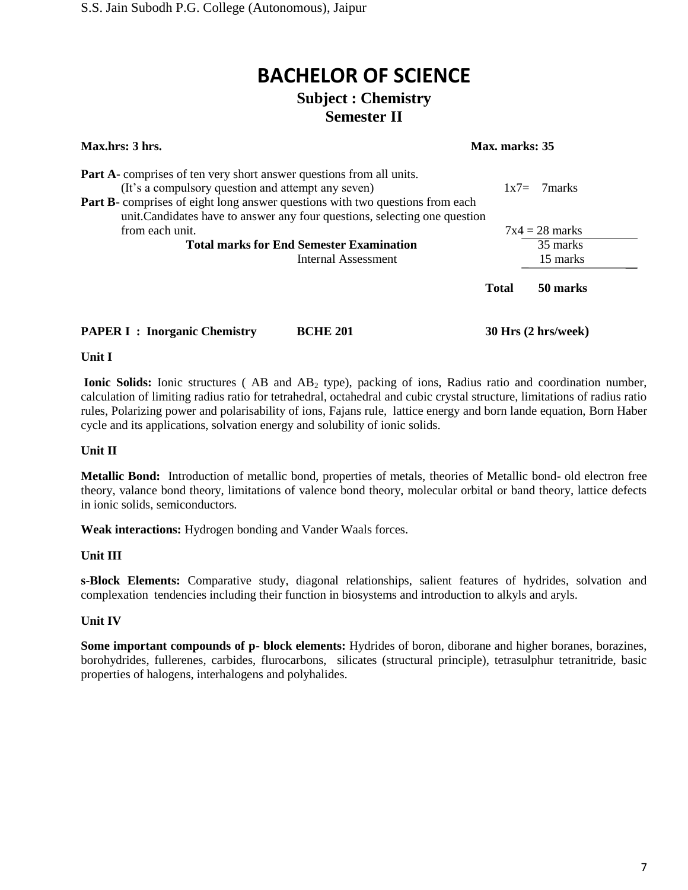## **BACHELOR OF SCIENCE Subject : Chemistry**

## **Semester II**

| Max.hrs: 3 hrs.<br>Max. marks: 35                                                    |                                                                            |              |                     |  |
|--------------------------------------------------------------------------------------|----------------------------------------------------------------------------|--------------|---------------------|--|
| <b>Part A</b> -comprises of ten very short answer questions from all units.          |                                                                            |              |                     |  |
| (It's a compulsory question and attempt any seven)                                   |                                                                            |              | $1x7 = 7$ marks     |  |
| <b>Part B</b> -comprises of eight long answer questions with two questions from each |                                                                            |              |                     |  |
|                                                                                      | unit. Candidates have to answer any four questions, selecting one question |              |                     |  |
| from each unit.                                                                      |                                                                            |              | $7x4 = 28$ marks    |  |
|                                                                                      | <b>Total marks for End Semester Examination</b>                            |              | 35 marks            |  |
|                                                                                      | Internal Assessment                                                        |              | 15 marks            |  |
|                                                                                      |                                                                            | <b>Total</b> | 50 marks            |  |
| <b>PAPER I : Inorganic Chemistry</b>                                                 | <b>BCHE 201</b>                                                            |              | 30 Hrs (2 hrs/week) |  |

#### **Unit I**

Ionic Solids: Ionic structures (AB and AB<sub>2</sub> type), packing of ions, Radius ratio and coordination number, calculation of limiting radius ratio for tetrahedral, octahedral and cubic crystal structure, limitations of radius ratio rules, Polarizing power and polarisability of ions, Fajans rule, lattice energy and born lande equation, Born Haber cycle and its applications, solvation energy and solubility of ionic solids.

#### **Unit II**

**Metallic Bond:** Introduction of metallic bond, properties of metals, theories of Metallic bond- old electron free theory, valance bond theory, limitations of valence bond theory, molecular orbital or band theory, lattice defects in ionic solids, semiconductors.

**Weak interactions:** Hydrogen bonding and Vander Waals forces.

#### **Unit III**

**s-Block Elements:** Comparative study, diagonal relationships, salient features of hydrides, solvation and complexation tendencies including their function in biosystems and introduction to alkyls and aryls.

#### **Unit IV**

**Some important compounds of p- block elements:** Hydrides of boron, diborane and higher boranes, borazines, borohydrides, fullerenes, carbides, flurocarbons, silicates (structural principle), tetrasulphur tetranitride, basic properties of halogens, interhalogens and polyhalides.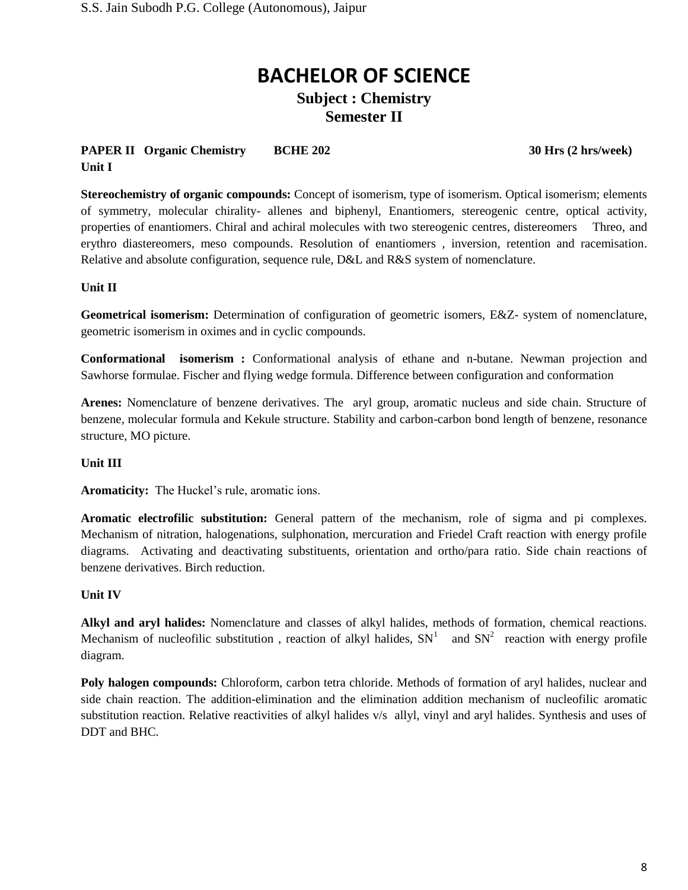## **Subject : Chemistry Semester II**

#### **PAPER II** Organic Chemistry BCHE 202 30 Hrs (2 hrs/week) **Unit I**

**Stereochemistry of organic compounds:** Concept of isomerism, type of isomerism. Optical isomerism; elements of symmetry, molecular chirality- allenes and biphenyl, Enantiomers, stereogenic centre, optical activity, properties of enantiomers. Chiral and achiral molecules with two stereogenic centres, distereomers Threo, and erythro diastereomers, meso compounds. Resolution of enantiomers , inversion, retention and racemisation. Relative and absolute configuration, sequence rule, D&L and R&S system of nomenclature.

#### **Unit II**

**Geometrical isomerism:** Determination of configuration of geometric isomers, E&Z- system of nomenclature, geometric isomerism in oximes and in cyclic compounds.

**Conformational isomerism :** Conformational analysis of ethane and n-butane. Newman projection and Sawhorse formulae. Fischer and flying wedge formula. Difference between configuration and conformation

**Arenes:** Nomenclature of benzene derivatives. The aryl group, aromatic nucleus and side chain. Structure of benzene, molecular formula and Kekule structure. Stability and carbon-carbon bond length of benzene, resonance structure, MO picture.

#### **Unit III**

**Aromaticity:** The Huckel's rule, aromatic ions.

**Aromatic electrofilic substitution:** General pattern of the mechanism, role of sigma and pi complexes. Mechanism of nitration, halogenations, sulphonation, mercuration and Friedel Craft reaction with energy profile diagrams. Activating and deactivating substituents, orientation and ortho/para ratio. Side chain reactions of benzene derivatives. Birch reduction.

#### **Unit IV**

**Alkyl and aryl halides:** Nomenclature and classes of alkyl halides, methods of formation, chemical reactions. Mechanism of nucleofilic substitution, reaction of alkyl halides,  $SN<sup>1</sup>$  and  $SN<sup>2</sup>$  reaction with energy profile diagram.

**Poly halogen compounds:** Chloroform, carbon tetra chloride. Methods of formation of aryl halides, nuclear and side chain reaction. The addition-elimination and the elimination addition mechanism of nucleofilic aromatic substitution reaction. Relative reactivities of alkyl halides v/s allyl, vinyl and aryl halides. Synthesis and uses of DDT and BHC.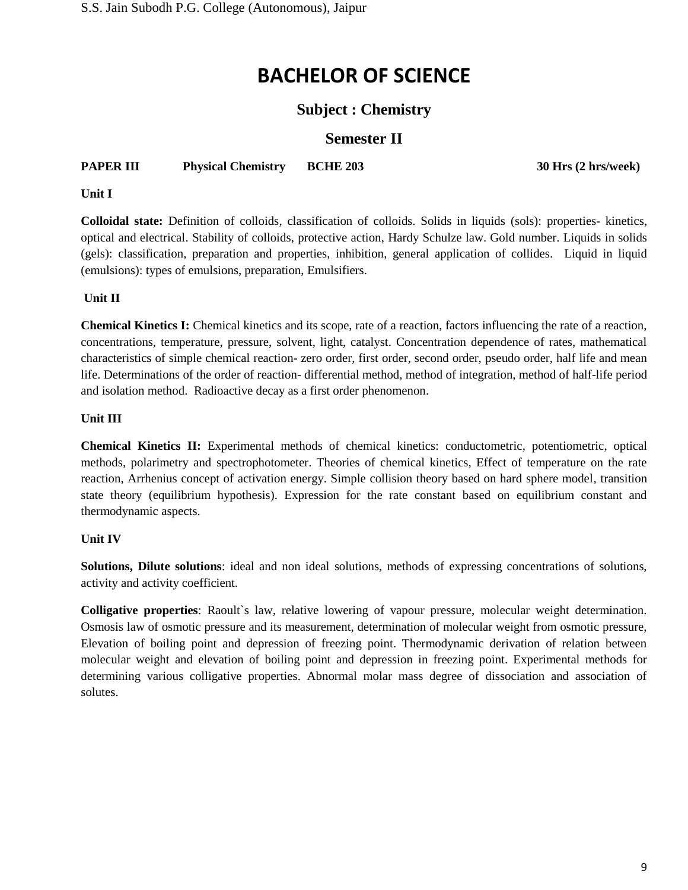### **Subject : Chemistry**

### **Semester II**

### **PAPER III Physical Chemistry BCHE 203 30 Hrs (2 hrs/week)**

#### **Unit I**

**Colloidal state:** Definition of colloids, classification of colloids. Solids in liquids (sols): properties- kinetics, optical and electrical. Stability of colloids, protective action, Hardy Schulze law. Gold number. Liquids in solids (gels): classification, preparation and properties, inhibition, general application of collides. Liquid in liquid (emulsions): types of emulsions, preparation, Emulsifiers.

#### **Unit II**

**Chemical Kinetics I:** Chemical kinetics and its scope, rate of a reaction, factors influencing the rate of a reaction, concentrations, temperature, pressure, solvent, light, catalyst. Concentration dependence of rates, mathematical characteristics of simple chemical reaction- zero order, first order, second order, pseudo order, half life and mean life. Determinations of the order of reaction- differential method, method of integration, method of half-life period and isolation method. Radioactive decay as a first order phenomenon.

#### **Unit III**

**Chemical Kinetics II:** Experimental methods of chemical kinetics: conductometric, potentiometric, optical methods, polarimetry and spectrophotometer. Theories of chemical kinetics, Effect of temperature on the rate reaction, Arrhenius concept of activation energy. Simple collision theory based on hard sphere model, transition state theory (equilibrium hypothesis). Expression for the rate constant based on equilibrium constant and thermodynamic aspects.

#### **Unit IV**

**Solutions, Dilute solutions**: ideal and non ideal solutions, methods of expressing concentrations of solutions, activity and activity coefficient.

**Colligative properties**: Raoult`s law, relative lowering of vapour pressure, molecular weight determination. Osmosis law of osmotic pressure and its measurement, determination of molecular weight from osmotic pressure, Elevation of boiling point and depression of freezing point. Thermodynamic derivation of relation between molecular weight and elevation of boiling point and depression in freezing point. Experimental methods for determining various colligative properties. Abnormal molar mass degree of dissociation and association of solutes.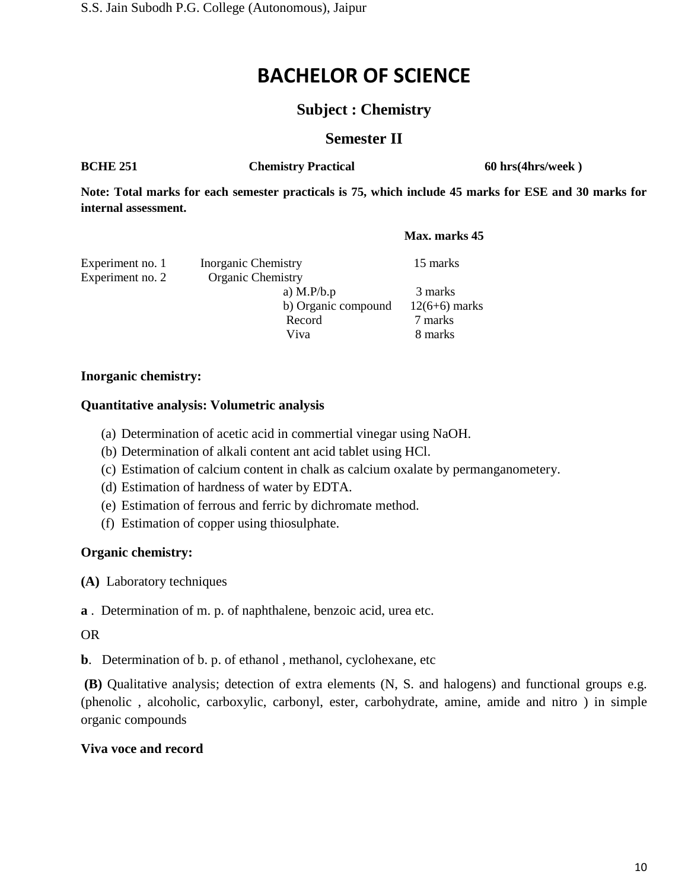### **Subject : Chemistry**

### **Semester II**

**BCHE 251 Chemistry Practical 60 hrs(4hrs/week )** 

**Note: Total marks for each semester practicals is 75, which include 45 marks for ESE and 30 marks for internal assessment.**

#### **Max. marks 45**

| Experiment no. 1 | <b>Inorganic Chemistry</b> | 15 marks        |
|------------------|----------------------------|-----------------|
| Experiment no. 2 | <b>Organic Chemistry</b>   |                 |
|                  | a) $M.P/b.p$               | 3 marks         |
|                  | b) Organic compound        | $12(6+6)$ marks |
|                  | Record                     | 7 marks         |
|                  | Viva                       | 8 marks         |

#### **Inorganic chemistry:**

#### **Quantitative analysis: Volumetric analysis**

- (a) Determination of acetic acid in commertial vinegar using NaOH.
- (b) Determination of alkali content ant acid tablet using HCl.
- (c) Estimation of calcium content in chalk as calcium oxalate by permanganometery.
- (d) Estimation of hardness of water by EDTA.
- (e) Estimation of ferrous and ferric by dichromate method.
- (f) Estimation of copper using thiosulphate.

#### **Organic chemistry:**

**(A)** Laboratory techniques

**a** . Determination of m. p. of naphthalene, benzoic acid, urea etc.

#### OR

**b**. Determination of b. p. of ethanol, methanol, cyclohexane, etc

**(B)** Qualitative analysis; detection of extra elements (N, S. and halogens) and functional groups e.g. (phenolic , alcoholic, carboxylic, carbonyl, ester, carbohydrate, amine, amide and nitro ) in simple organic compounds

#### **Viva voce and record**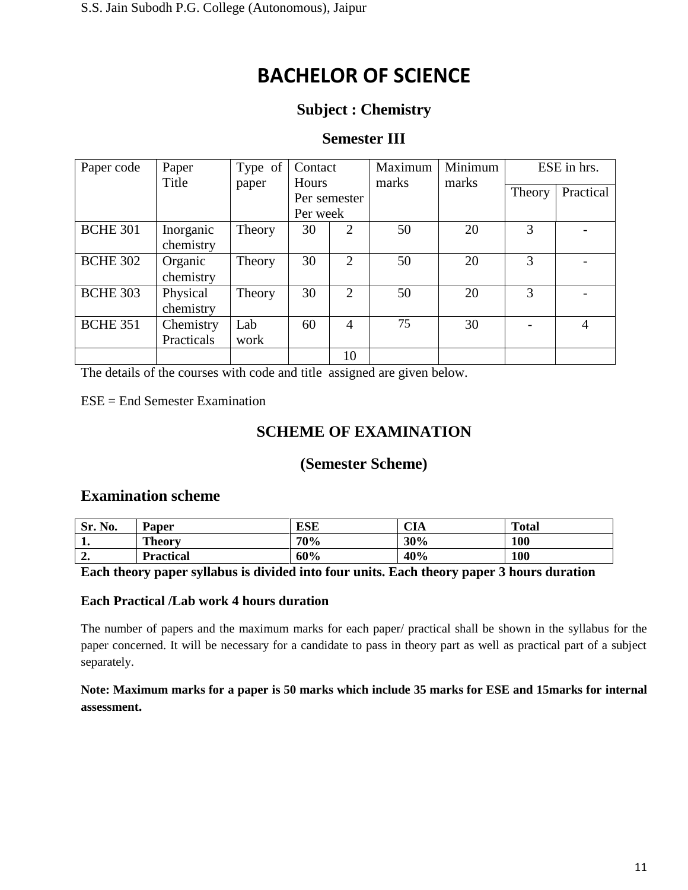## **Subject : Chemistry**

### **Semester III**

| Paper code      | Paper<br>Title | Type of | Contact  |                | Maximum | Minimum | ESE in hrs. |           |
|-----------------|----------------|---------|----------|----------------|---------|---------|-------------|-----------|
|                 |                | paper   | Hours    | Per semester   | marks   | marks   | Theory      | Practical |
|                 |                |         | Per week |                |         |         |             |           |
| <b>BCHE 301</b> | Inorganic      | Theory  | 30       | 2              | 50      | 20      | 3           |           |
|                 | chemistry      |         |          |                |         |         |             |           |
| <b>BCHE 302</b> | Organic        | Theory  | 30       | $\overline{2}$ | 50      | 20      | 3           |           |
|                 | chemistry      |         |          |                |         |         |             |           |
| <b>BCHE 303</b> | Physical       | Theory  | 30       | $\overline{2}$ | 50      | 20      | 3           |           |
|                 | chemistry      |         |          |                |         |         |             |           |
| <b>BCHE 351</b> | Chemistry      | Lab     | 60       | $\overline{4}$ | 75      | 30      |             | 4         |
|                 | Practicals     | work    |          |                |         |         |             |           |
|                 |                |         |          | 10             |         |         |             |           |

The details of the courses with code and title assigned are given below.

ESE = End Semester Examination

## **SCHEME OF EXAMINATION**

### **(Semester Scheme)**

### **Examination scheme**

| Sr.<br>No.   | <b>Paper</b>     | <b>ESE</b> | $\cap$ T.<br>UА | <b>Total</b> |
|--------------|------------------|------------|-----------------|--------------|
| ᅩ.           | <b>Theory</b>    | 70%        | 30%             | 100          |
| $\sim$<br>∸∙ | <b>Practical</b> | 60%        | 40%             | 100          |

#### **Each theory paper syllabus is divided into four units. Each theory paper 3 hours duration**

#### **Each Practical /Lab work 4 hours duration**

The number of papers and the maximum marks for each paper/ practical shall be shown in the syllabus for the paper concerned. It will be necessary for a candidate to pass in theory part as well as practical part of a subject separately.

**Note: Maximum marks for a paper is 50 marks which include 35 marks for ESE and 15marks for internal assessment.**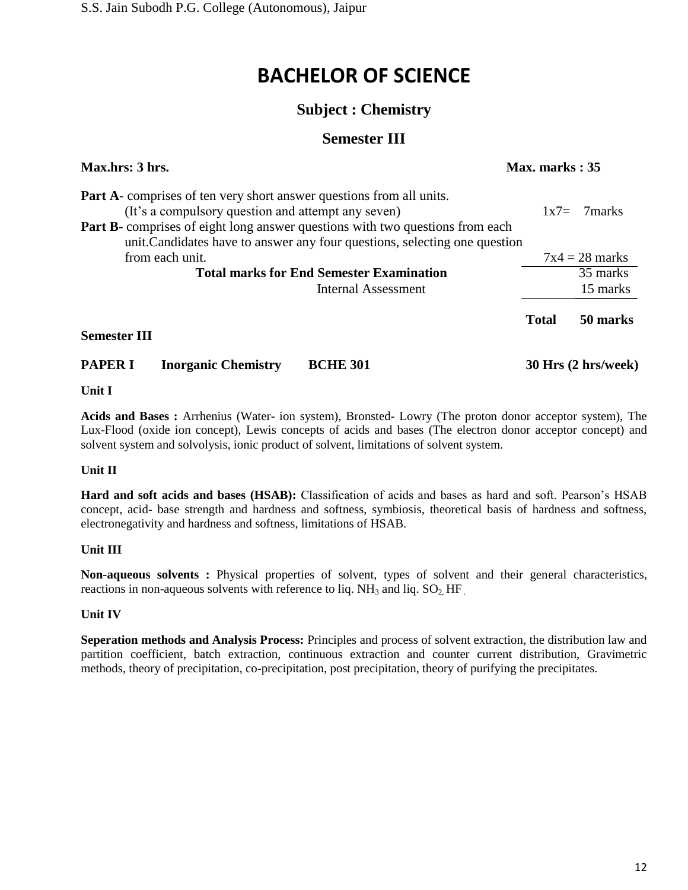## **Subject : Chemistry**

## **Semester III**

| Max.hrs: 3 hrs.     |                            |                                                                                                                                                                                                                           | Max. marks: 35 |                     |  |
|---------------------|----------------------------|---------------------------------------------------------------------------------------------------------------------------------------------------------------------------------------------------------------------------|----------------|---------------------|--|
|                     |                            | <b>Part A</b> -comprises of ten very short answer questions from all units.<br>(It's a compulsory question and attempt any seven)<br><b>Part B</b> -comprises of eight long answer questions with two questions from each |                | $1x7 = 7marks$      |  |
|                     |                            | unit. Candidates have to answer any four questions, selecting one question                                                                                                                                                |                |                     |  |
| from each unit.     |                            |                                                                                                                                                                                                                           |                | $7x4 = 28$ marks    |  |
|                     |                            | <b>Total marks for End Semester Examination</b>                                                                                                                                                                           |                | 35 marks            |  |
|                     |                            | Internal Assessment                                                                                                                                                                                                       |                | 15 marks            |  |
|                     |                            |                                                                                                                                                                                                                           | <b>Total</b>   | 50 marks            |  |
| <b>Semester III</b> |                            |                                                                                                                                                                                                                           |                |                     |  |
| <b>PAPER I</b>      | <b>Inorganic Chemistry</b> | <b>BCHE 301</b>                                                                                                                                                                                                           |                | 30 Hrs (2 hrs/week) |  |

#### **Unit I**

**Acids and Bases :** Arrhenius (Water- ion system), Bronsted- Lowry (The proton donor acceptor system), The Lux-Flood (oxide ion concept), Lewis concepts of acids and bases (The electron donor acceptor concept) and solvent system and solvolysis, ionic product of solvent, limitations of solvent system.

#### **Unit II**

**Hard and soft acids and bases (HSAB):** Classification of acids and bases as hard and soft. Pearson's HSAB concept, acid- base strength and hardness and softness, symbiosis, theoretical basis of hardness and softness, electronegativity and hardness and softness, limitations of HSAB.

#### **Unit III**

**Non-aqueous solvents :** Physical properties of solvent, types of solvent and their general characteristics, reactions in non-aqueous solvents with reference to liq.  $NH_3$  and liq.  $SO_2$  HF

#### **Unit IV**

**Seperation methods and Analysis Process:** Principles and process of solvent extraction, the distribution law and partition coefficient, batch extraction, continuous extraction and counter current distribution, Gravimetric methods, theory of precipitation, co-precipitation, post precipitation, theory of purifying the precipitates.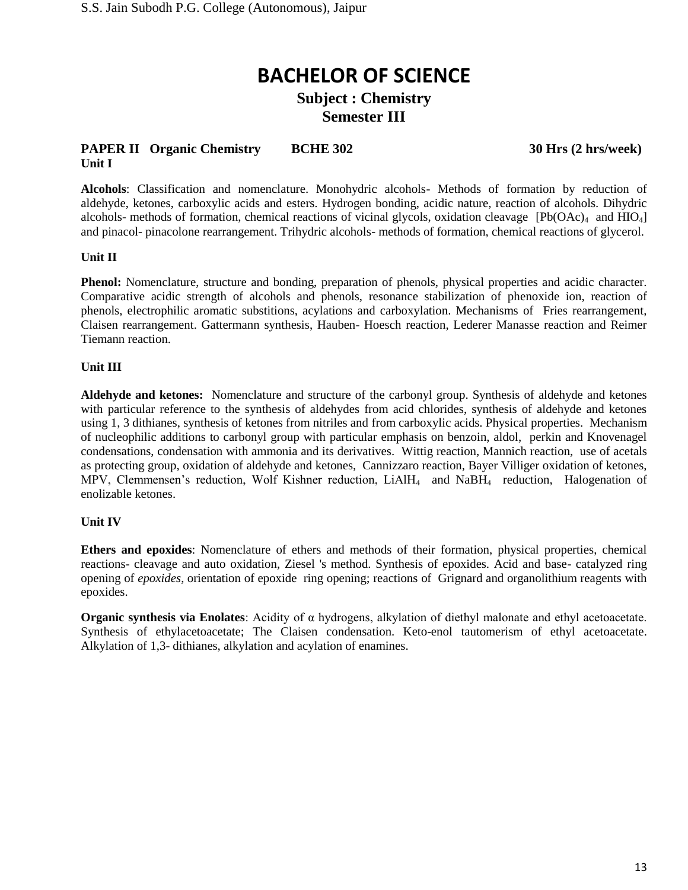### **Subject : Chemistry Semester III**

#### **PAPER II** Organic Chemistry BCHE 302 30 Hrs (2 hrs/week) **Unit I**

**Alcohols**: Classification and nomenclature. Monohydric alcohols- Methods of formation by reduction of aldehyde, ketones, carboxylic acids and esters. Hydrogen bonding, acidic nature, reaction of alcohols. Dihydric alcohols- methods of formation, chemical reactions of vicinal glycols, oxidation cleavage  $[Pb(OAc)<sub>4</sub>$  and  $HIO<sub>4</sub>]$ and pinacol- pinacolone rearrangement. Trihydric alcohols- methods of formation, chemical reactions of glycerol.

#### **Unit II**

**Phenol:** Nomenclature, structure and bonding, preparation of phenols, physical properties and acidic character. Comparative acidic strength of alcohols and phenols, resonance stabilization of phenoxide ion, reaction of phenols, electrophilic aromatic substitions, acylations and carboxylation. Mechanisms of Fries rearrangement, Claisen rearrangement. Gattermann synthesis, Hauben- Hoesch reaction, Lederer Manasse reaction and Reimer Tiemann reaction.

#### **Unit III**

**Aldehyde and ketones:** Nomenclature and structure of the carbonyl group. Synthesis of aldehyde and ketones with particular reference to the synthesis of aldehydes from acid chlorides, synthesis of aldehyde and ketones using 1, 3 dithianes, synthesis of ketones from nitriles and from carboxylic acids. Physical properties. Mechanism of nucleophilic additions to carbonyl group with particular emphasis on benzoin, aldol, perkin and Knovenagel condensations, condensation with ammonia and its derivatives. Wittig reaction, Mannich reaction, use of acetals as protecting group, oxidation of aldehyde and ketones, Cannizzaro reaction, Bayer Villiger oxidation of ketones, MPV, Clemmensen's reduction, Wolf Kishner reduction, LiAlH<sub>4</sub> and NaBH<sub>4</sub> reduction, Halogenation of enolizable ketones.

#### **Unit IV**

**Ethers and epoxides**: Nomenclature of ethers and methods of their formation, physical properties, chemical reactions- cleavage and auto oxidation, Ziesel 's method. Synthesis of epoxides. Acid and base- catalyzed ring opening of *epoxides*, orientation of epoxide ring opening; reactions of Grignard and organolithium reagents with epoxides.

**Organic synthesis via Enolates**: Acidity of α hydrogens, alkylation of diethyl malonate and ethyl acetoacetate. Synthesis of ethylacetoacetate; The Claisen condensation. Keto-enol tautomerism of ethyl acetoacetate. Alkylation of 1,3- dithianes, alkylation and acylation of enamines.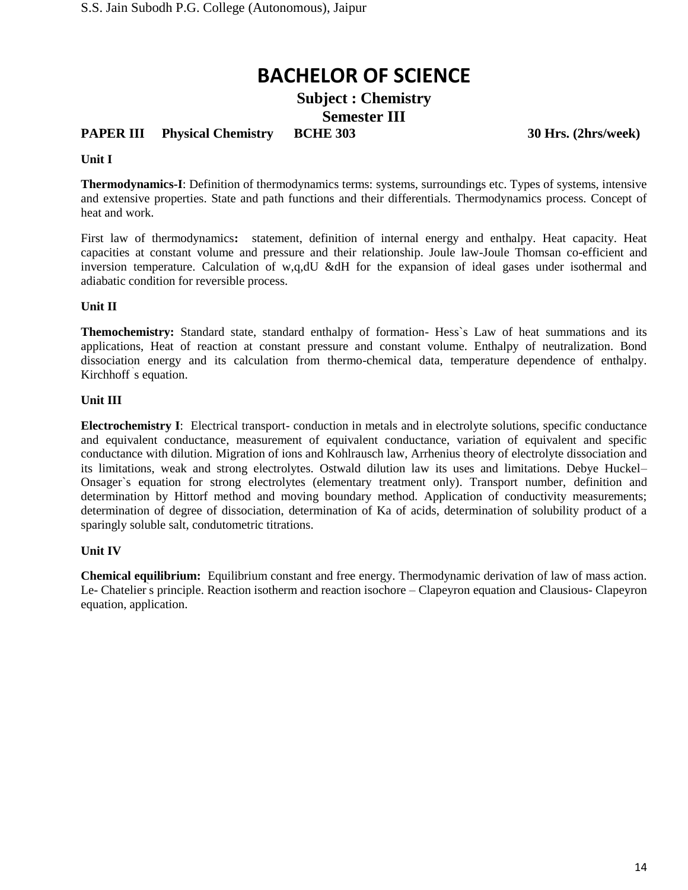**Subject : Chemistry Semester III**

### **PAPER III Physical Chemistry BCHE 303 30 Hrs. (2hrs/week)**

#### **Unit I**

**Thermodynamics-I**: Definition of thermodynamics terms: systems, surroundings etc. Types of systems, intensive and extensive properties. State and path functions and their differentials. Thermodynamics process. Concept of heat and work.

First law of thermodynamics**:** statement, definition of internal energy and enthalpy. Heat capacity. Heat capacities at constant volume and pressure and their relationship. Joule law-Joule Thomsan co-efficient and inversion temperature. Calculation of w,q,dU &dH for the expansion of ideal gases under isothermal and adiabatic condition for reversible process.

#### **Unit II**

**Themochemistry:** Standard state, standard enthalpy of formation- Hess`s Law of heat summations and its applications, Heat of reaction at constant pressure and constant volume. Enthalpy of neutralization. Bond dissociation energy and its calculation from thermo-chemical data, temperature dependence of enthalpy. Kirchhoff ` s equation.

#### **Unit III**

**Electrochemistry I**: Electrical transport- conduction in metals and in electrolyte solutions, specific conductance and equivalent conductance, measurement of equivalent conductance, variation of equivalent and specific conductance with dilution. Migration of ions and Kohlrausch law, Arrhenius theory of electrolyte dissociation and its limitations, weak and strong electrolytes. Ostwald dilution law its uses and limitations. Debye Huckel– Onsager`s equation for strong electrolytes (elementary treatment only). Transport number, definition and determination by Hittorf method and moving boundary method. Application of conductivity measurements; determination of degree of dissociation, determination of Ka of acids, determination of solubility product of a sparingly soluble salt, condutometric titrations.

#### **Unit IV**

**Chemical equilibrium:** Equilibrium constant and free energy. Thermodynamic derivation of law of mass action. Le- Chatelier's principle. Reaction isotherm and reaction isochore – Clapeyron equation and Clausious- Clapeyron equation, application.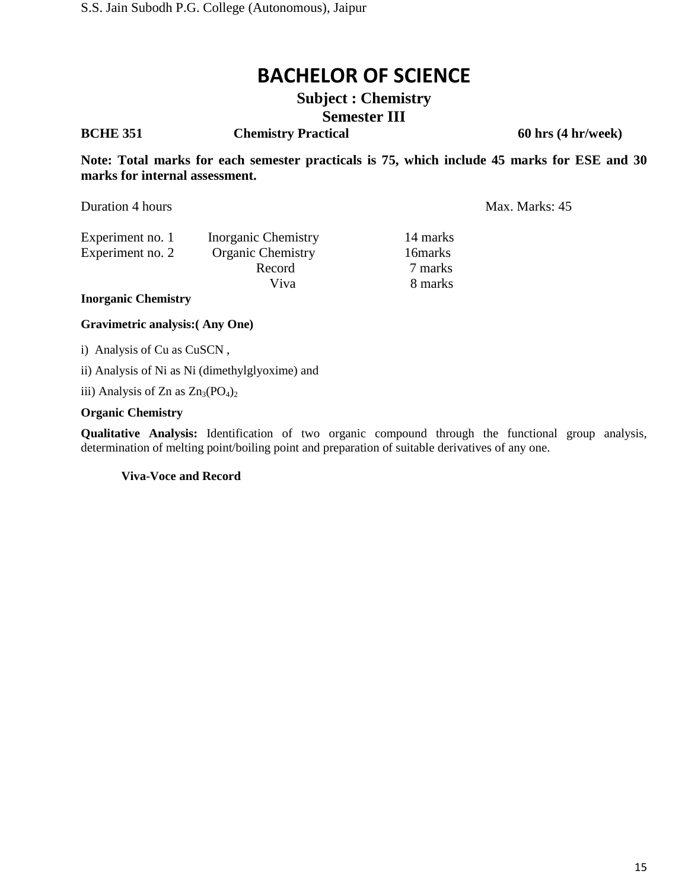**Subject : Chemistry Semester III**

**BCHE 351 Chemistry Practical 60 hrs (4 hr/week)**

**Note: Total marks for each semester practicals is 75, which include 45 marks for ESE and 30 marks for internal assessment.**

Duration 4 hours Max. Marks: 45

| Experiment no. 1 | Inorganic Chemistry      | 14 marks |
|------------------|--------------------------|----------|
| Experiment no. 2 | <b>Organic Chemistry</b> | 16 marks |
|                  | Record                   | 7 marks  |
|                  | Viva                     | 8 marks  |
|                  |                          |          |

**Inorganic Chemistry**

**Gravimetric analysis:( Any One)**

i) Analysis of Cu as CuSCN ,

ii) Analysis of Ni as Ni (dimethylglyoxime) and

iii) Analysis of Zn as  $Zn_3(PO_4)_2$ 

#### **Organic Chemistry**

**Qualitative Analysis:** Identification of two organic compound through the functional group analysis, determination of melting point/boiling point and preparation of suitable derivatives of any one.

**Viva**-**Voce and Record**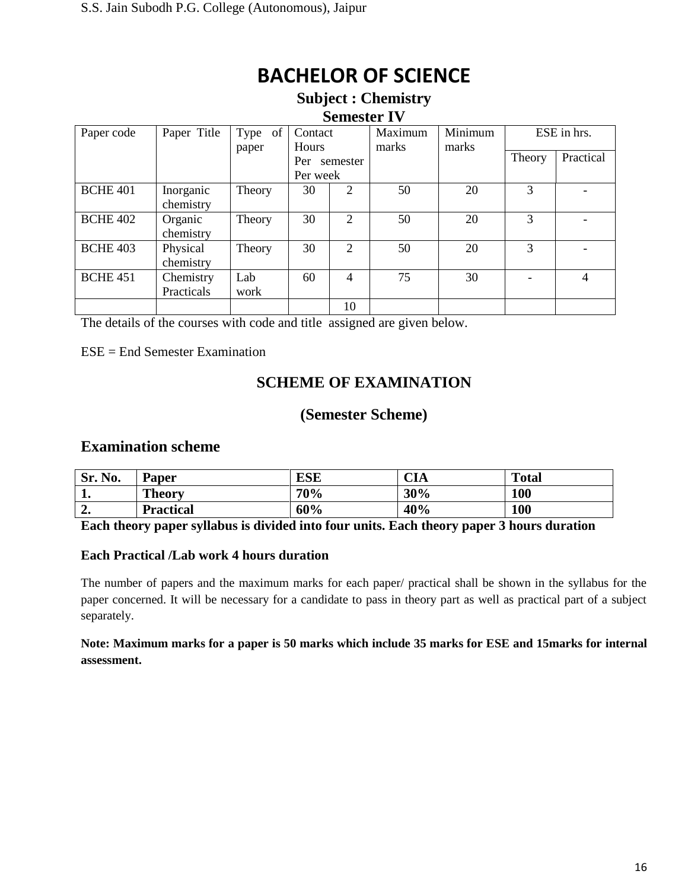#### **Subject : Chemistry Semester IV**

| Paper code      | Paper Title | of<br>Type | Contact      |                | Maximum | Minimum |        | ESE in hrs. |
|-----------------|-------------|------------|--------------|----------------|---------|---------|--------|-------------|
|                 |             | paper      | <b>Hours</b> |                | marks   | marks   |        |             |
|                 |             |            | Per          | semester       |         |         | Theory | Practical   |
|                 |             |            | Per week     |                |         |         |        |             |
| <b>BCHE 401</b> | Inorganic   | Theory     | 30           | $\overline{2}$ | 50      | 20      | 3      |             |
|                 | chemistry   |            |              |                |         |         |        |             |
| <b>BCHE 402</b> | Organic     | Theory     | 30           | 2              | 50      | 20      | 3      |             |
|                 | chemistry   |            |              |                |         |         |        |             |
| <b>BCHE 403</b> | Physical    | Theory     | 30           | 2              | 50      | 20      | 3      |             |
|                 | chemistry   |            |              |                |         |         |        |             |
| <b>BCHE 451</b> | Chemistry   | Lab        | 60           | 4              | 75      | 30      |        | 4           |
|                 | Practicals  | work       |              |                |         |         |        |             |
|                 |             |            |              | 10             |         |         |        |             |

The details of the courses with code and title assigned are given below.

ESE = End Semester Examination

## **SCHEME OF EXAMINATION**

### **(Semester Scheme)**

### **Examination scheme**

| Sr. No.      | <b>Paper</b>     | ESE | CIA | <b>Total</b> |
|--------------|------------------|-----|-----|--------------|
| л.           | <b>Theory</b>    | 70% | 30% | 100          |
| $\sim$<br>∸• | <b>Practical</b> | 60% | 40% | 100          |

**Each theory paper syllabus is divided into four units. Each theory paper 3 hours duration**

#### **Each Practical /Lab work 4 hours duration**

The number of papers and the maximum marks for each paper/ practical shall be shown in the syllabus for the paper concerned. It will be necessary for a candidate to pass in theory part as well as practical part of a subject separately.

**Note: Maximum marks for a paper is 50 marks which include 35 marks for ESE and 15marks for internal assessment.**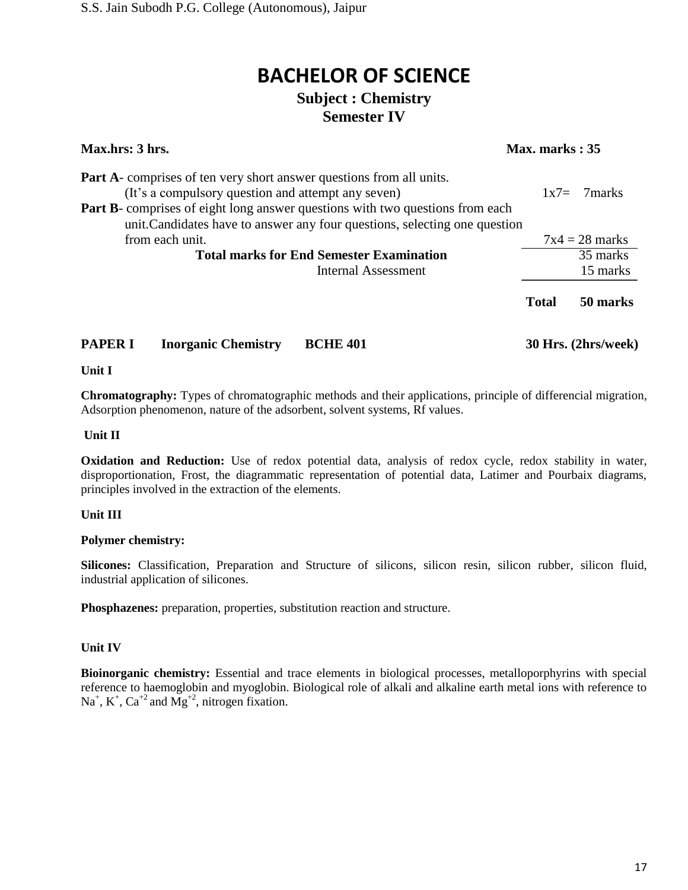## **BACHELOR OF SCIENCE Subject : Chemistry**

## **Semester IV**

| Max.hrs: 3 hrs.                                                                                                                                                                                                                                                                                         | Max. marks: 35 |        |                     |
|---------------------------------------------------------------------------------------------------------------------------------------------------------------------------------------------------------------------------------------------------------------------------------------------------------|----------------|--------|---------------------|
| <b>Part A</b> -comprises of ten very short answer questions from all units.<br>(It's a compulsory question and attempt any seven)<br><b>Part B-</b> comprises of eight long answer questions with two questions from each<br>unit. Candidates have to answer any four questions, selecting one question |                | $1x7=$ | – 7 marks           |
| from each unit.                                                                                                                                                                                                                                                                                         |                |        | $7x4 = 28$ marks    |
| <b>Total marks for End Semester Examination</b>                                                                                                                                                                                                                                                         |                |        | 35 marks            |
| <b>Internal Assessment</b>                                                                                                                                                                                                                                                                              |                |        | 15 marks            |
|                                                                                                                                                                                                                                                                                                         | <b>Total</b>   |        | 50 marks            |
| <b>PAPER I</b><br><b>Inorganic Chemistry</b><br><b>BCHE 401</b>                                                                                                                                                                                                                                         |                |        | 30 Hrs. (2hrs/week) |

## **Unit I**

**Chromatography:** Types of chromatographic methods and their applications, principle of differencial migration, Adsorption phenomenon, nature of the adsorbent, solvent systems, Rf values.

#### **Unit II**

**Oxidation and Reduction:** Use of redox potential data, analysis of redox cycle, redox stability in water, disproportionation, Frost, the diagrammatic representation of potential data, Latimer and Pourbaix diagrams, principles involved in the extraction of the elements.

#### **Unit III**

#### **Polymer chemistry:**

Silicones: Classification, Preparation and Structure of silicons, silicon resin, silicon rubber, silicon fluid, industrial application of silicones.

**Phosphazenes:** preparation, properties, substitution reaction and structure.

#### **Unit IV**

**Bioinorganic chemistry:** Essential and trace elements in biological processes, metalloporphyrins with special reference to haemoglobin and myoglobin. Biological role of alkali and alkaline earth metal ions with reference to  $Na<sup>+</sup>, K<sup>+</sup>, Ca<sup>+</sup><sup>2</sup>$  and  $Mg<sup>+</sup><sup>2</sup>,$  nitrogen fixation.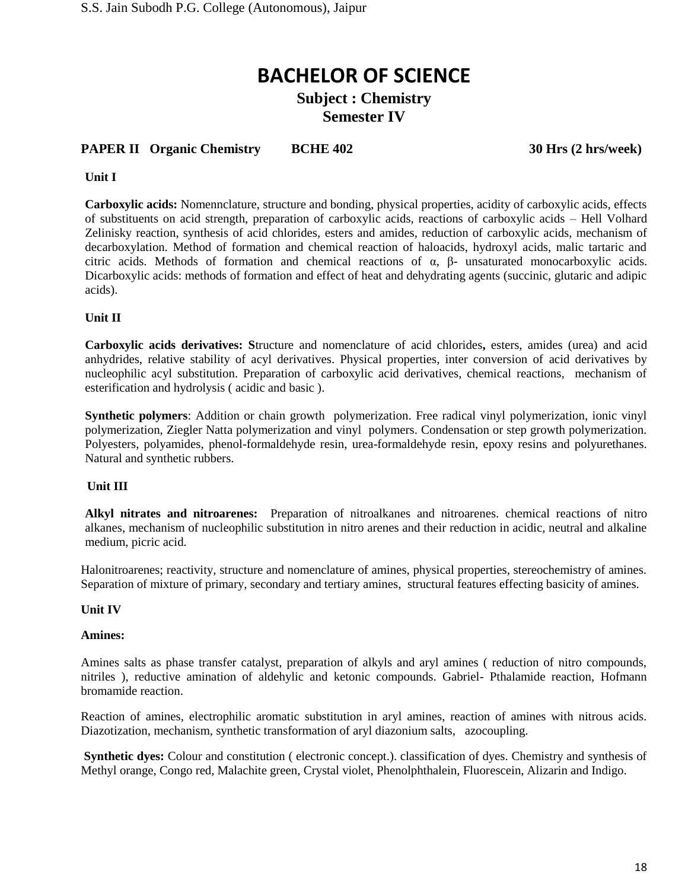### **Subject : Chemistry Semester IV**

#### **PAPER II Organic Chemistry BCHE 402 30 Hrs (2 hrs/week)**

#### **Unit I**

**Carboxylic acids:** Nomennclature, structure and bonding, physical properties, acidity of carboxylic acids, effects of substituents on acid strength, preparation of carboxylic acids, reactions of carboxylic acids – Hell Volhard Zelinisky reaction, synthesis of acid chlorides, esters and amides, reduction of carboxylic acids, mechanism of decarboxylation. Method of formation and chemical reaction of haloacids, hydroxyl acids, malic tartaric and citric acids. Methods of formation and chemical reactions of α, β- unsaturated monocarboxylic acids. Dicarboxylic acids: methods of formation and effect of heat and dehydrating agents (succinic, glutaric and adipic acids).

#### **Unit II**

**Carboxylic acids derivatives: S**tructure and nomenclature of acid chlorides**,** esters, amides (urea) and acid anhydrides, relative stability of acyl derivatives. Physical properties, inter conversion of acid derivatives by nucleophilic acyl substitution. Preparation of carboxylic acid derivatives, chemical reactions, mechanism of esterification and hydrolysis ( acidic and basic ).

**Synthetic polymers**: Addition or chain growth polymerization. Free radical vinyl polymerization, ionic vinyl polymerization, Ziegler Natta polymerization and vinyl polymers. Condensation or step growth polymerization. Polyesters, polyamides, phenol-formaldehyde resin, urea-formaldehyde resin, epoxy resins and polyurethanes. Natural and synthetic rubbers.

#### **Unit III**

**Alkyl nitrates and nitroarenes:** Preparation of nitroalkanes and nitroarenes. chemical reactions of nitro alkanes, mechanism of nucleophilic substitution in nitro arenes and their reduction in acidic, neutral and alkaline medium, picric acid.

Halonitroarenes; reactivity, structure and nomenclature of amines, physical properties, stereochemistry of amines. Separation of mixture of primary, secondary and tertiary amines, structural features effecting basicity of amines.

#### **Unit IV**

#### **Amines:**

Amines salts as phase transfer catalyst, preparation of alkyls and aryl amines ( reduction of nitro compounds, nitriles ), reductive amination of aldehylic and ketonic compounds. Gabriel- Pthalamide reaction, Hofmann bromamide reaction.

Reaction of amines, electrophilic aromatic substitution in aryl amines, reaction of amines with nitrous acids. Diazotization, mechanism, synthetic transformation of aryl diazonium salts, azocoupling.

**Synthetic dyes:** Colour and constitution ( electronic concept.). classification of dyes. Chemistry and synthesis of Methyl orange, Congo red, Malachite green, Crystal violet, Phenolphthalein, Fluorescein, Alizarin and Indigo.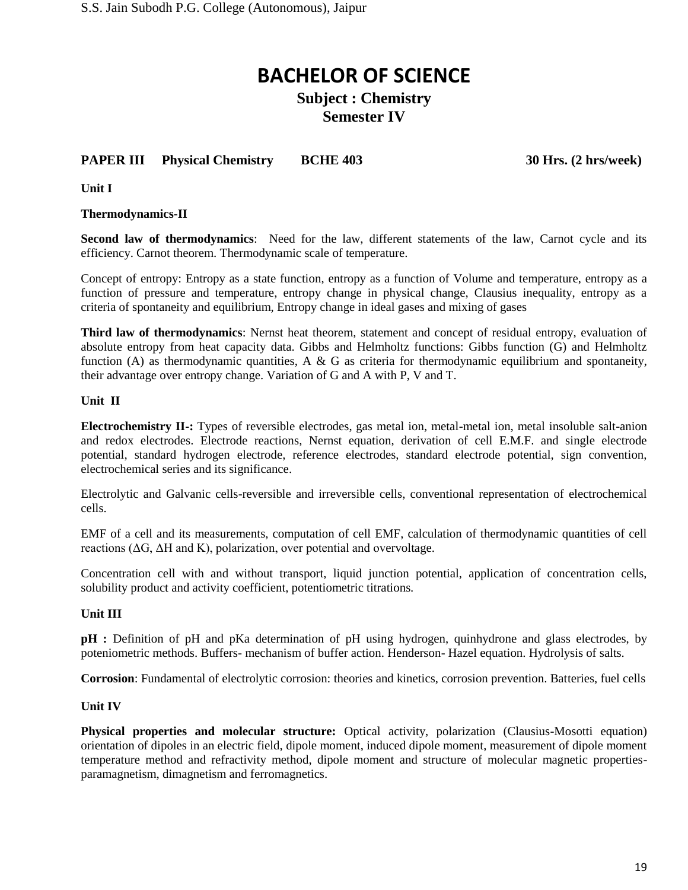**Subject : Chemistry Semester IV**

### **PAPER III** Physical Chemistry BCHE 403 30 Hrs. (2 hrs/week)

**Unit I**

#### **Thermodynamics-II**

**Second law of thermodynamics**: Need for the law, different statements of the law, Carnot cycle and its efficiency. Carnot theorem. Thermodynamic scale of temperature.

Concept of entropy: Entropy as a state function, entropy as a function of Volume and temperature, entropy as a function of pressure and temperature, entropy change in physical change, Clausius inequality, entropy as a criteria of spontaneity and equilibrium, Entropy change in ideal gases and mixing of gases

**Third law of thermodynamics**: Nernst heat theorem, statement and concept of residual entropy, evaluation of absolute entropy from heat capacity data. Gibbs and Helmholtz functions: Gibbs function (G) and Helmholtz function (A) as thermodynamic quantities, A & G as criteria for thermodynamic equilibrium and spontaneity, their advantage over entropy change. Variation of G and A with P, V and T.

#### **Unit II**

**Electrochemistry II-:** Types of reversible electrodes, gas metal ion, metal-metal ion, metal insoluble salt-anion and redox electrodes. Electrode reactions, Nernst equation, derivation of cell E.M.F. and single electrode potential, standard hydrogen electrode, reference electrodes, standard electrode potential, sign convention, electrochemical series and its significance.

Electrolytic and Galvanic cells-reversible and irreversible cells, conventional representation of electrochemical cells.

EMF of a cell and its measurements, computation of cell EMF, calculation of thermodynamic quantities of cell reactions (ΔG, ΔH and K), polarization, over potential and overvoltage.

Concentration cell with and without transport, liquid junction potential, application of concentration cells, solubility product and activity coefficient, potentiometric titrations.

#### **Unit III**

**pH** : Definition of pH and pKa determination of pH using hydrogen, quinhydrone and glass electrodes, by poteniometric methods. Buffers- mechanism of buffer action. Henderson- Hazel equation. Hydrolysis of salts.

**Corrosion**: Fundamental of electrolytic corrosion: theories and kinetics, corrosion prevention. Batteries, fuel cells

#### **Unit IV**

**Physical properties and molecular structure:** Optical activity, polarization (Clausius-Mosotti equation) orientation of dipoles in an electric field, dipole moment, induced dipole moment, measurement of dipole moment temperature method and refractivity method, dipole moment and structure of molecular magnetic propertiesparamagnetism, dimagnetism and ferromagnetics.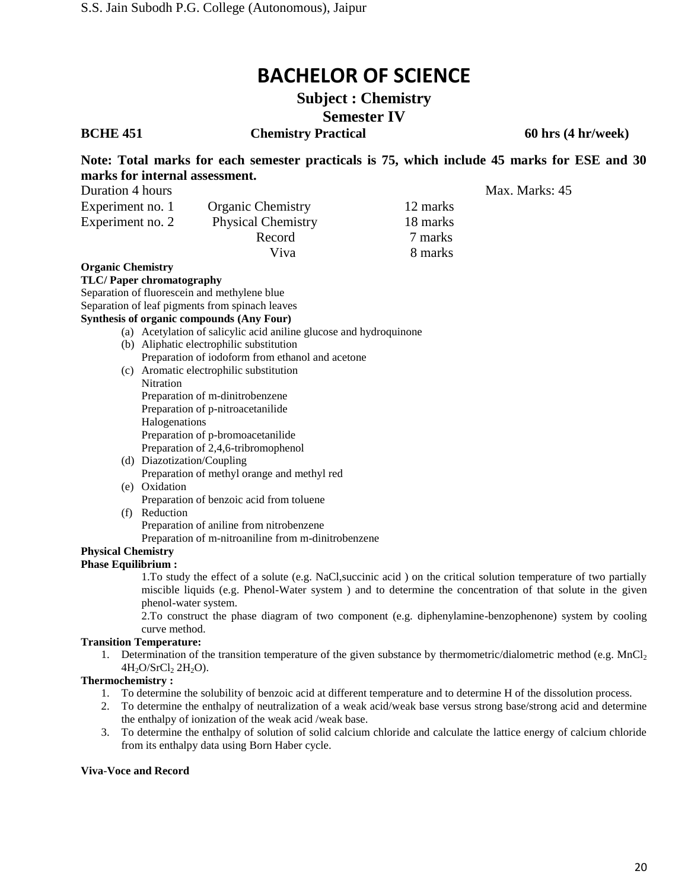**Subject : Chemistry Semester IV**

**BCHE 451 Chemistry Practical 60 hrs (4 hr/week)**

**Note: Total marks for each semester practicals is 75, which include 45 marks for ESE and 30 marks for internal assessment.**

| Duration 4 hours |                           |          | Max. Marks: 45 |
|------------------|---------------------------|----------|----------------|
| Experiment no. 1 | <b>Organic Chemistry</b>  | 12 marks |                |
| Experiment no. 2 | <b>Physical Chemistry</b> | 18 marks |                |
|                  | Record                    | 7 marks  |                |
|                  | Viva                      | 8 marks  |                |

#### **Organic Chemistry**

#### **TLC/ Paper chromatography**

Separation of fluorescein and methylene blue

Separation of leaf pigments from spinach leaves

#### **Synthesis of organic compounds (Any Four)**

(a) Acetylation of salicylic acid aniline glucose and hydroquinone

- (b) Aliphatic electrophilic substitution Preparation of iodoform from ethanol and acetone
- (c) Aromatic electrophilic substitution Nitration Preparation of m-dinitrobenzene Preparation of p-nitroacetanilide Halogenations Preparation of p-bromoacetanilide Preparation of 2,4,6-tribromophenol
- (d) Diazotization/Coupling Preparation of methyl orange and methyl red
- (e) Oxidation Preparation of benzoic acid from toluene
- (f) Reduction

Preparation of aniline from nitrobenzene

Preparation of m-nitroaniline from m-dinitrobenzene

#### **Physical Chemistry Phase Equilibrium :**

1.To study the effect of a solute (e.g. NaCl,succinic acid ) on the critical solution temperature of two partially miscible liquids (e.g. Phenol-Water system ) and to determine the concentration of that solute in the given phenol-water system.

2.To construct the phase diagram of two component (e.g. diphenylamine-benzophenone) system by cooling curve method.

#### **Transition Temperature:**

1. Determination of the transition temperature of the given substance by thermometric/dialometric method (e.g.  $MnCl<sub>2</sub>$  $4H_2O/SrCl_2 2H_2O$ ).

#### **Thermochemistry :**

- 1. To determine the solubility of benzoic acid at different temperature and to determine H of the dissolution process.
- 2. To determine the enthalpy of neutralization of a weak acid/weak base versus strong base/strong acid and determine the enthalpy of ionization of the weak acid /weak base.
- 3. To determine the enthalpy of solution of solid calcium chloride and calculate the lattice energy of calcium chloride from its enthalpy data using Born Haber cycle.

#### **Viva**-**Voce and Record**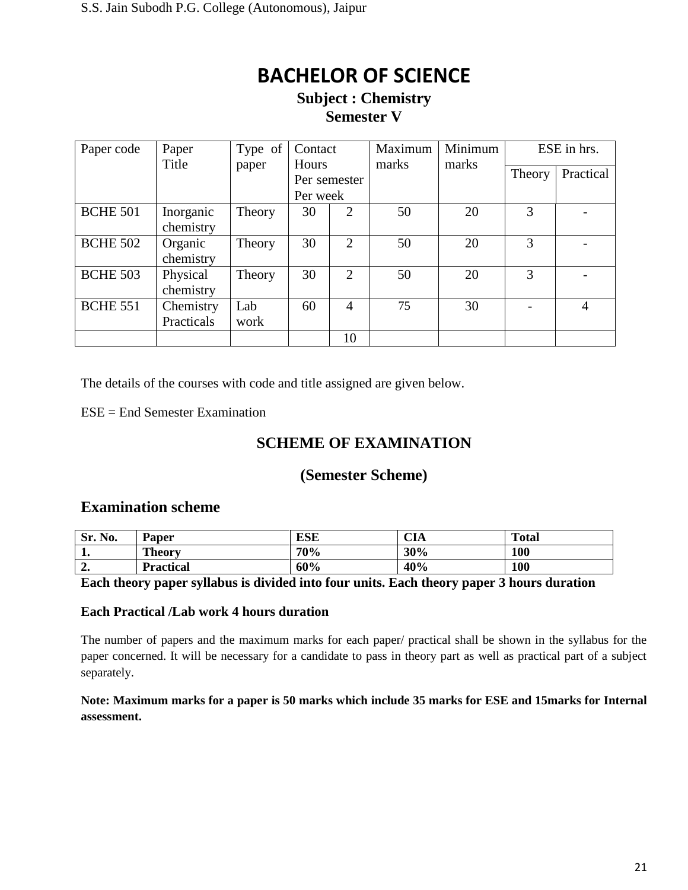### **Subject : Chemistry Semester V**

| Paper code      | Paper                | Type of | Contact  |                | Maximum | Minimum | ESE in hrs. |                |
|-----------------|----------------------|---------|----------|----------------|---------|---------|-------------|----------------|
|                 | Title                | paper   | Hours    | Per semester   | marks   | marks   | Theory      | Practical      |
|                 |                      |         | Per week |                |         |         |             |                |
| <b>BCHE 501</b> | Inorganic            | Theory  | 30       | 2              | 50      | 20      | 3           |                |
|                 | chemistry            |         |          |                |         |         |             |                |
| <b>BCHE 502</b> | Organic<br>chemistry | Theory  | 30       | $\overline{2}$ | 50      | 20      | 3           |                |
| <b>BCHE 503</b> | Physical             | Theory  | 30       | $\overline{2}$ | 50      | 20      | 3           |                |
|                 | chemistry            |         |          |                |         |         |             |                |
| <b>BCHE 551</b> | Chemistry            | Lab     | 60       | 4              | 75      | 30      |             | $\overline{A}$ |
|                 | Practicals           | work    |          |                |         |         |             |                |
|                 |                      |         |          | 10             |         |         |             |                |

The details of the courses with code and title assigned are given below.

 $ESE =$  End Semester Examination

### **SCHEME OF EXAMINATION**

### **(Semester Scheme)**

### **Examination scheme**

| Sr.<br>No.  | Paper            | <b>ESE</b> | <b>CIA</b> | <b>Total</b> |
|-------------|------------------|------------|------------|--------------|
| T.          | <b>Theory</b>    | 70%        | 30%        | 100          |
| $\sim$<br>" | <b>Practical</b> | 60%        | 40%        | 100          |

#### **Each theory paper syllabus is divided into four units. Each theory paper 3 hours duration**

#### **Each Practical /Lab work 4 hours duration**

The number of papers and the maximum marks for each paper/ practical shall be shown in the syllabus for the paper concerned. It will be necessary for a candidate to pass in theory part as well as practical part of a subject separately.

**Note: Maximum marks for a paper is 50 marks which include 35 marks for ESE and 15marks for Internal assessment.**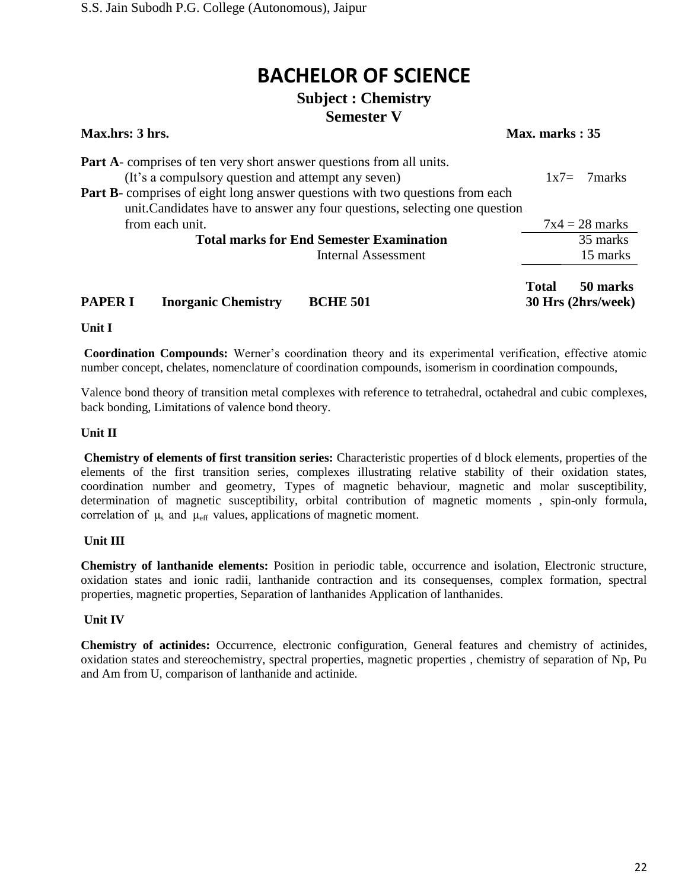### **Subject : Chemistry Semester V**

| Max.hrs: 3 hrs.                                                                                                                                                                                                                                                                                         | Max. marks: 35                                 |
|---------------------------------------------------------------------------------------------------------------------------------------------------------------------------------------------------------------------------------------------------------------------------------------------------------|------------------------------------------------|
| <b>Part A</b> -comprises of ten very short answer questions from all units.<br>(It's a compulsory question and attempt any seven)<br><b>Part B</b> -comprises of eight long answer questions with two questions from each<br>unit. Candidates have to answer any four questions, selecting one question | $1x7=7marks$                                   |
| from each unit.                                                                                                                                                                                                                                                                                         | $7x4 = 28$ marks                               |
| <b>Total marks for End Semester Examination</b>                                                                                                                                                                                                                                                         | 35 marks                                       |
| <b>Internal Assessment</b>                                                                                                                                                                                                                                                                              | 15 marks                                       |
| <b>Inorganic Chemistry</b><br><b>BCHE 501</b><br><b>PAPER I</b>                                                                                                                                                                                                                                         | 50 marks<br><b>Total</b><br>30 Hrs (2hrs/week) |

**Unit I**

**Coordination Compounds:** Werner's coordination theory and its experimental verification, effective atomic number concept, chelates, nomenclature of coordination compounds, isomerism in coordination compounds,

Valence bond theory of transition metal complexes with reference to tetrahedral, octahedral and cubic complexes, back bonding, Limitations of valence bond theory.

#### **Unit II**

**Chemistry of elements of first transition series:** Characteristic properties of d block elements, properties of the elements of the first transition series, complexes illustrating relative stability of their oxidation states, coordination number and geometry, Types of magnetic behaviour, magnetic and molar susceptibility, determination of magnetic susceptibility, orbital contribution of magnetic moments , spin-only formula, correlation of  $\mu_s$  and  $\mu_{eff}$  values, applications of magnetic moment.

#### **Unit III**

**Chemistry of lanthanide elements:** Position in periodic table, occurrence and isolation, Electronic structure, oxidation states and ionic radii, lanthanide contraction and its consequenses, complex formation, spectral properties, magnetic properties, Separation of lanthanides Application of lanthanides.

#### **Unit IV**

**Chemistry of actinides:** Occurrence, electronic configuration, General features and chemistry of actinides, oxidation states and stereochemistry, spectral properties, magnetic properties , chemistry of separation of Np, Pu and Am from U, comparison of lanthanide and actinide.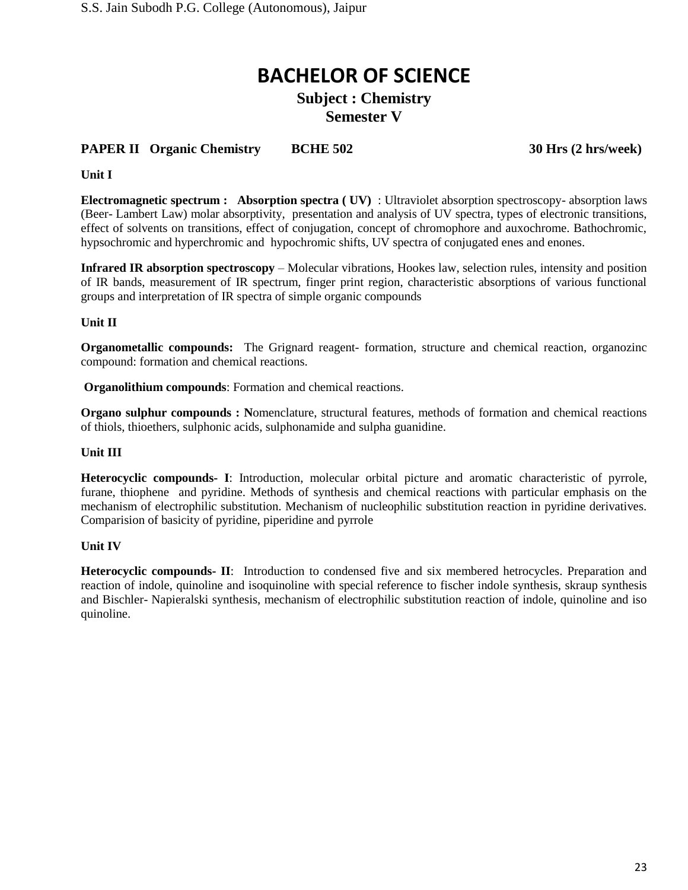### **Subject : Chemistry Semester V**

### **PAPER II Organic Chemistry BCHE 502 30 Hrs (2 hrs/week)**

#### **Unit I**

**Electromagnetic spectrum : Absorption spectra ( UV)** : Ultraviolet absorption spectroscopy- absorption laws (Beer- Lambert Law) molar absorptivity, presentation and analysis of UV spectra, types of electronic transitions, effect of solvents on transitions, effect of conjugation, concept of chromophore and auxochrome. Bathochromic, hypsochromic and hyperchromic and hypochromic shifts, UV spectra of conjugated enes and enones.

**Infrared IR absorption spectroscopy** – Molecular vibrations, Hookes law, selection rules, intensity and position of IR bands, measurement of IR spectrum, finger print region, characteristic absorptions of various functional groups and interpretation of IR spectra of simple organic compounds

#### **Unit II**

**Organometallic compounds:** The Grignard reagent-formation, structure and chemical reaction, organozinc compound: formation and chemical reactions.

**Organolithium compounds**: Formation and chemical reactions.

**Organo sulphur compounds : Nomenclature, structural features, methods of formation and chemical reactions** of thiols, thioethers, sulphonic acids, sulphonamide and sulpha guanidine.

#### **Unit III**

**Heterocyclic compounds- I**: Introduction, molecular orbital picture and aromatic characteristic of pyrrole, furane, thiophene and pyridine. Methods of synthesis and chemical reactions with particular emphasis on the mechanism of electrophilic substitution. Mechanism of nucleophilic substitution reaction in pyridine derivatives. Comparision of basicity of pyridine, piperidine and pyrrole

#### **Unit IV**

**Heterocyclic compounds- II**: Introduction to condensed five and six membered hetrocycles. Preparation and reaction of indole, quinoline and isoquinoline with special reference to fischer indole synthesis, skraup synthesis and Bischler- Napieralski synthesis, mechanism of electrophilic substitution reaction of indole, quinoline and iso quinoline.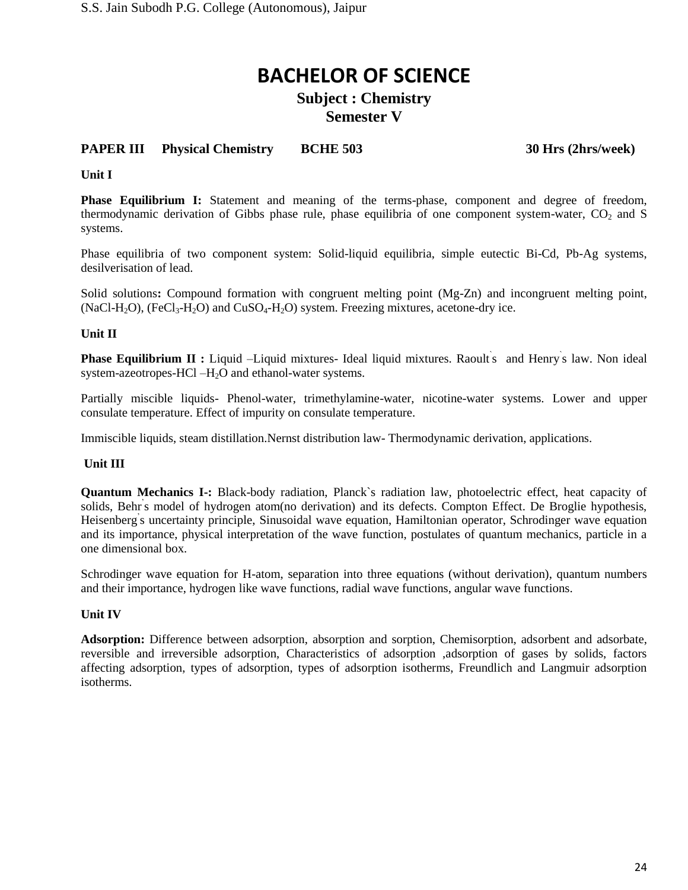### **Subject : Chemistry Semester V**

### **PAPER III Physical Chemistry BCHE 503 30 Hrs (2hrs/week)**

**Unit I** 

**Phase Equilibrium I:** Statement and meaning of the terms-phase, component and degree of freedom, thermodynamic derivation of Gibbs phase rule, phase equilibria of one component system-water,  $CO<sub>2</sub>$  and S systems.

Phase equilibria of two component system: Solid-liquid equilibria, simple eutectic Bi-Cd, Pb-Ag systems, desilverisation of lead.

Solid solutions**:** Compound formation with congruent melting point (Mg-Zn) and incongruent melting point,  $(NaCl-H<sub>2</sub>O)$ ,  $(FeCl<sub>3</sub>-H<sub>2</sub>O)$  and  $CuSO<sub>4</sub>-H<sub>2</sub>O)$  system. Freezing mixtures, acetone-dry ice.

#### **Unit II**

Phase Equilibrium II : Liquid –Liquid mixtures- Ideal liquid mixtures. Raoult s and Henry s law. Non ideal system-azeotropes-HCl  $-H<sub>2</sub>O$  and ethanol-water systems.

Partially miscible liquids- Phenol-water, trimethylamine-water, nicotine-water systems. Lower and upper consulate temperature. Effect of impurity on consulate temperature.

Immiscible liquids, steam distillation.Nernst distribution law- Thermodynamic derivation, applications.

#### **Unit III**

**Quantum Mechanics I-:** Black-body radiation, Planck`s radiation law, photoelectric effect, heat capacity of solids, Behr<sup>'</sup>s model of hydrogen atom(no derivation) and its defects. Compton Effect. De Broglie hypothesis, Heisenberg' s uncertainty principle, Sinusoidal wave equation, Hamiltonian operator, Schrodinger wave equation and its importance, physical interpretation of the wave function, postulates of quantum mechanics, particle in a one dimensional box.

Schrodinger wave equation for H-atom, separation into three equations (without derivation), quantum numbers and their importance, hydrogen like wave functions, radial wave functions, angular wave functions.

#### **Unit IV**

**Adsorption:** Difference between adsorption, absorption and sorption, Chemisorption, adsorbent and adsorbate, reversible and irreversible adsorption, Characteristics of adsorption ,adsorption of gases by solids, factors affecting adsorption, types of adsorption, types of adsorption isotherms, Freundlich and Langmuir adsorption isotherms.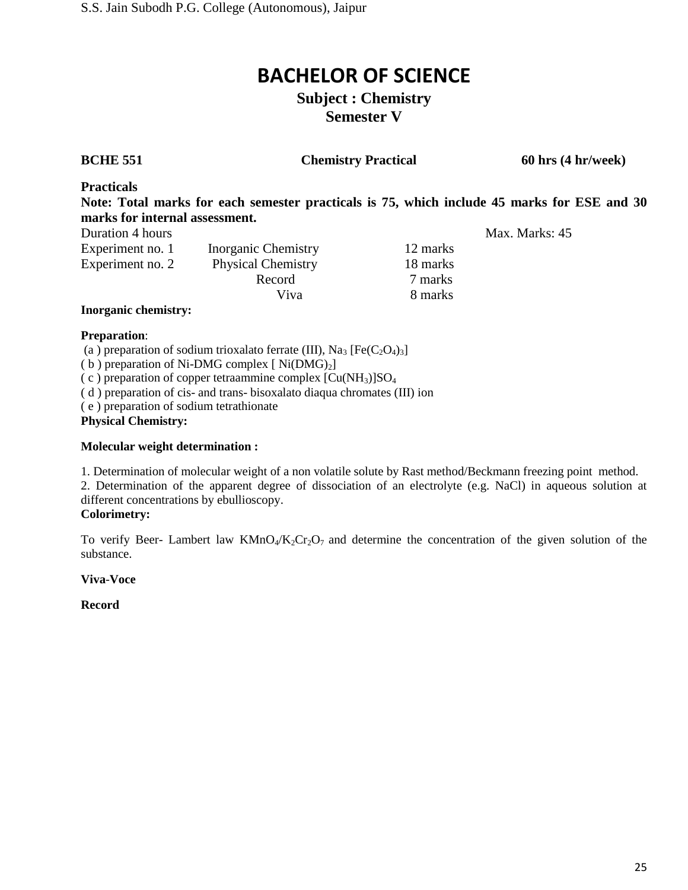### **Subject : Chemistry Semester V**

**BCHE 551 Chemistry Practical 60 hrs (4 hr/week)**

Max. Marks: 45

**Practicals** 

**Note: Total marks for each semester practicals is 75, which include 45 marks for ESE and 30 marks for internal assessment.**

| Duration 4 hours |                           |          |
|------------------|---------------------------|----------|
| Experiment no. 1 | Inorganic Chemistry       | 12 marks |
| Experiment no. 2 | <b>Physical Chemistry</b> | 18 marks |
|                  | Record                    | 7 marks  |
|                  | Viva                      | 8 marks  |
|                  |                           |          |

#### **Inorganic chemistry:**

#### **Preparation**:

(a) preparation of sodium trioxalato ferrate (III), Na<sub>3</sub>  $[Fe(C<sub>2</sub>O<sub>4</sub>)<sub>3</sub>]$ 

(b) preparation of Ni-DMG complex  $[Ni(DMG)_2]$ 

(c) preparation of copper tetraammine complex  $\lbrack Cu(NH_3) \rbrack SO_4$ 

( d ) preparation of cis- and trans- bisoxalato diaqua chromates (III) ion

( e ) preparation of sodium tetrathionate

**Physical Chemistry:**

#### **Molecular weight determination :**

1. Determination of molecular weight of a non volatile solute by Rast method/Beckmann freezing point method.

2. Determination of the apparent degree of dissociation of an electrolyte (e.g. NaCl) in aqueous solution at different concentrations by ebullioscopy.

#### **Colorimetry:**

To verify Beer- Lambert law  $KMD_4/K_2Cr_2O_7$  and determine the concentration of the given solution of the substance.

#### **Viva**-**Voce**

#### **Record**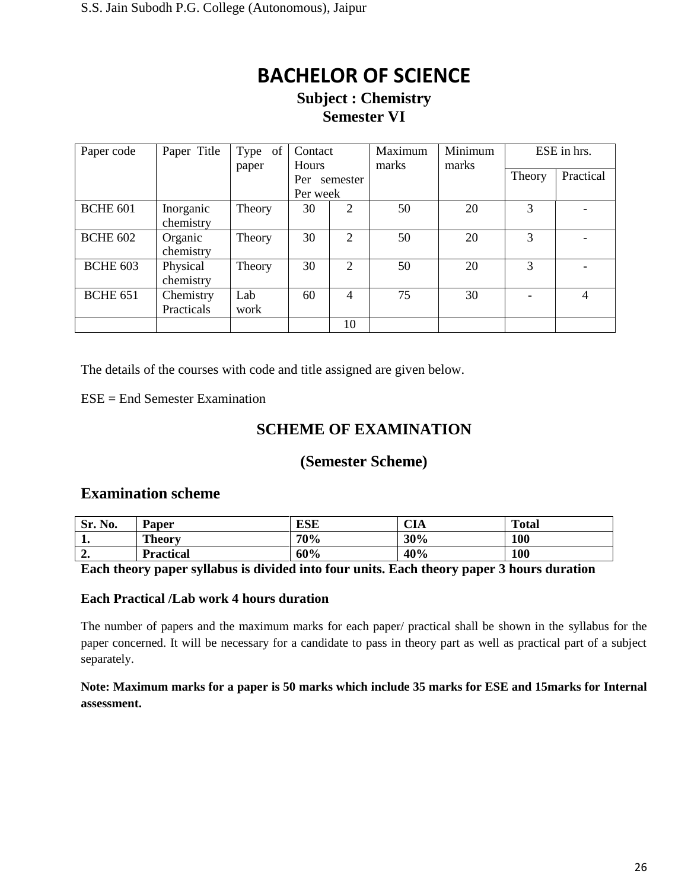### **Subject : Chemistry Semester VI**

| Paper code      | Paper Title             | Type of<br>paper | Contact<br><b>Hours</b> |                | Maximum<br>marks | Minimum<br>marks | ESE in hrs. |           |
|-----------------|-------------------------|------------------|-------------------------|----------------|------------------|------------------|-------------|-----------|
|                 |                         |                  | Per<br>Per week         | semester       |                  |                  | Theory      | Practical |
| <b>BCHE 601</b> | Inorganic<br>chemistry  | Theory           | 30                      | 2              | 50               | 20               | 3           |           |
| <b>BCHE 602</b> | Organic<br>chemistry    | Theory           | 30                      | 2              | 50               | 20               | 3           |           |
| <b>BCHE 603</b> | Physical<br>chemistry   | Theory           | 30                      | $\overline{2}$ | 50               | 20               | 3           |           |
| <b>BCHE 651</b> | Chemistry<br>Practicals | Lab<br>work      | 60                      | 4              | 75               | 30               |             | 4         |
|                 |                         |                  |                         | 10             |                  |                  |             |           |

The details of the courses with code and title assigned are given below.

ESE = End Semester Examination

### **SCHEME OF EXAMINATION**

### **(Semester Scheme)**

#### **Examination scheme**

| No.<br>Sr.  | <b>Paper</b>     | ESE | $\sim$ t<br>UИ | <b>Total</b> |
|-------------|------------------|-----|----------------|--------------|
| ᅩ.          | <b>Theory</b>    | 70% | 30%            | 100          |
| $\sim$<br>" | <b>Practical</b> | 60% | 40%            | 100          |

#### **Each theory paper syllabus is divided into four units. Each theory paper 3 hours duration**

#### **Each Practical /Lab work 4 hours duration**

The number of papers and the maximum marks for each paper/ practical shall be shown in the syllabus for the paper concerned. It will be necessary for a candidate to pass in theory part as well as practical part of a subject separately.

**Note: Maximum marks for a paper is 50 marks which include 35 marks for ESE and 15marks for Internal assessment.**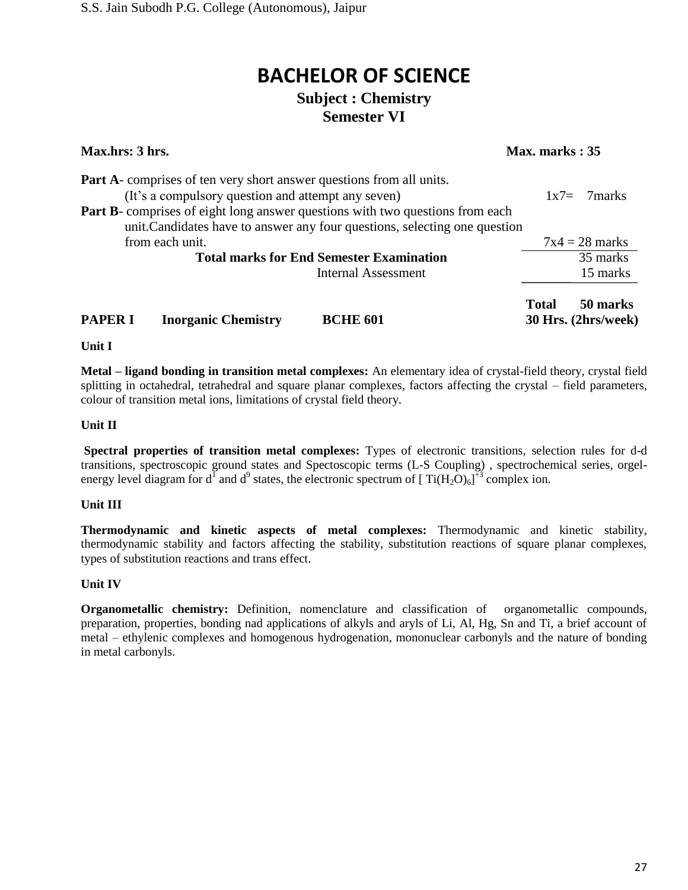## **BACHELOR OF SCIENCE Subject : Chemistry**

## **Semester VI**

| Max.hrs: 3 hrs.                                                                                                                                                                                                                                                                                         | Max. marks: 35                           |
|---------------------------------------------------------------------------------------------------------------------------------------------------------------------------------------------------------------------------------------------------------------------------------------------------------|------------------------------------------|
| <b>Part A</b> -comprises of ten very short answer questions from all units.<br>(It's a compulsory question and attempt any seven)<br><b>Part B-</b> comprises of eight long answer questions with two questions from each<br>unit. Candidates have to answer any four questions, selecting one question | $1x7=$<br>7marks                         |
| from each unit.                                                                                                                                                                                                                                                                                         | $7x4 = 28$ marks                         |
| <b>Total marks for End Semester Examination</b>                                                                                                                                                                                                                                                         | 35 marks                                 |
| Internal Assessment                                                                                                                                                                                                                                                                                     | 15 marks                                 |
| <b>Inorganic Chemistry</b><br><b>PAPER I</b><br><b>BCHE 601</b>                                                                                                                                                                                                                                         | Total<br>50 marks<br>30 Hrs. (2hrs/week) |

**Unit I** 

**Metal – ligand bonding in transition metal complexes:** An elementary idea of crystal-field theory, crystal field splitting in octahedral, tetrahedral and square planar complexes, factors affecting the crystal – field parameters, colour of transition metal ions, limitations of crystal field theory.

#### **Unit II**

**Spectral properties of transition metal complexes:** Types of electronic transitions, selection rules for d-d transitions, spectroscopic ground states and Spectoscopic terms (L-S Coupling) , spectrochemical series, orgelenergy level diagram for d<sup>1</sup> and d<sup>9</sup> states, the electronic spectrum of  $[Ti(H_2O)_6]^{1/3}$  complex ion.

#### **Unit III**

**Thermodynamic and kinetic aspects of metal complexes:** Thermodynamic and kinetic stability, thermodynamic stability and factors affecting the stability, substitution reactions of square planar complexes, types of substitution reactions and trans effect.

#### **Unit IV**

**Organometallic chemistry:** Definition, nomenclature and classification of organometallic compounds, preparation, properties, bonding nad applications of alkyls and aryls of Li, Al, Hg, Sn and Ti, a brief account of metal – ethylenic complexes and homogenous hydrogenation, mononuclear carbonyls and the nature of bonding in metal carbonyls.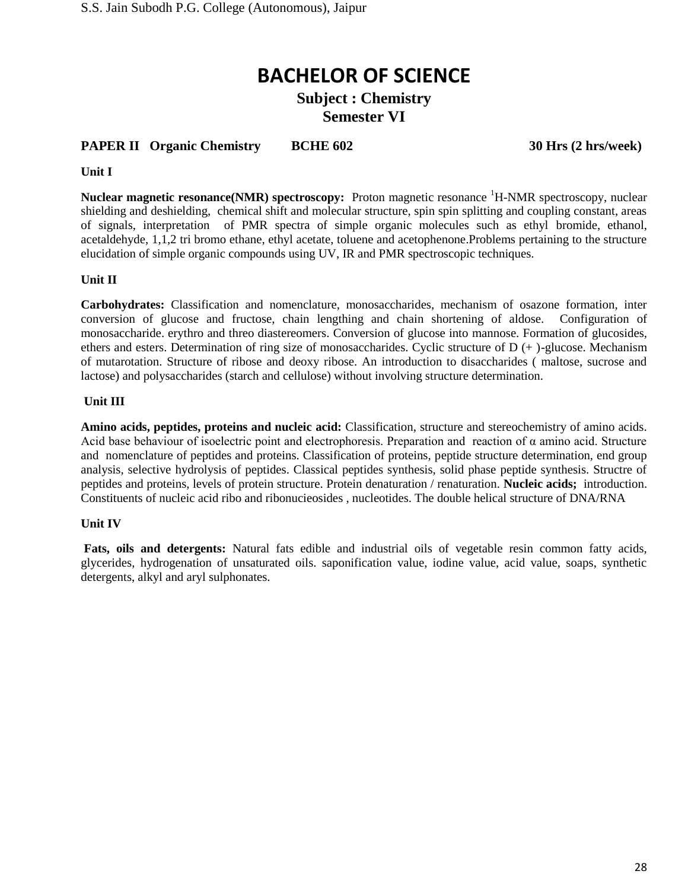**Subject : Chemistry Semester VI**

#### **PAPER II** Organic Chemistry BCHE 602 30 Hrs (2 hrs/week)

#### **Unit I**

Nuclear magnetic resonance(NMR) spectroscopy: Proton magnetic resonance <sup>1</sup>H-NMR spectroscopy, nuclear shielding and deshielding, chemical shift and molecular structure, spin spin splitting and coupling constant, areas of signals, interpretation of PMR spectra of simple organic molecules such as ethyl bromide, ethanol, acetaldehyde, 1,1,2 tri bromo ethane, ethyl acetate, toluene and acetophenone.Problems pertaining to the structure elucidation of simple organic compounds using UV, IR and PMR spectroscopic techniques.

#### **Unit II**

**Carbohydrates:** Classification and nomenclature, monosaccharides, mechanism of osazone formation, inter conversion of glucose and fructose, chain lengthing and chain shortening of aldose. Configuration of monosaccharide. erythro and threo diastereomers. Conversion of glucose into mannose. Formation of glucosides, ethers and esters. Determination of ring size of monosaccharides. Cyclic structure of  $D$  (+ )-glucose. Mechanism of mutarotation. Structure of ribose and deoxy ribose. An introduction to disaccharides ( maltose, sucrose and lactose) and polysaccharides (starch and cellulose) without involving structure determination.

#### **Unit III**

**Amino acids, peptides, proteins and nucleic acid:** Classification, structure and stereochemistry of amino acids. Acid base behaviour of isoelectric point and electrophoresis. Preparation and reaction of  $\alpha$  amino acid. Structure and nomenclature of peptides and proteins. Classification of proteins, peptide structure determination, end group analysis, selective hydrolysis of peptides. Classical peptides synthesis, solid phase peptide synthesis. Structre of peptides and proteins, levels of protein structure. Protein denaturation / renaturation. **Nucleic acids;** introduction. Constituents of nucleic acid ribo and ribonucieosides , nucleotides. The double helical structure of DNA/RNA

#### **Unit IV**

**Fats, oils and detergents:** Natural fats edible and industrial oils of vegetable resin common fatty acids, glycerides, hydrogenation of unsaturated oils. saponification value, iodine value, acid value, soaps, synthetic detergents, alkyl and aryl sulphonates.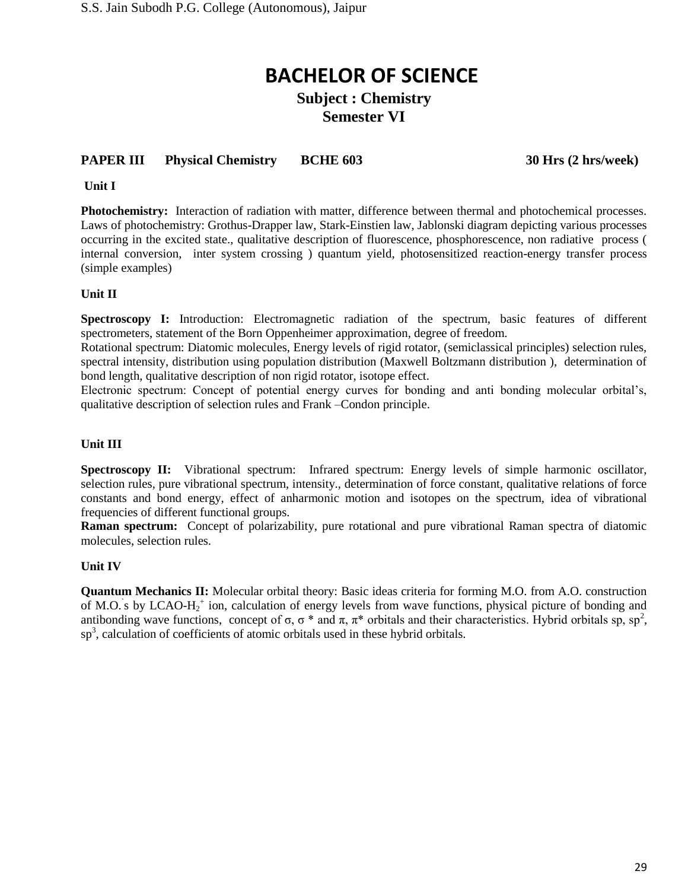### **Subject : Chemistry Semester VI**

### **PAPER III Physical Chemistry BCHE 603 30 Hrs (2 hrs/week)**

**Unit I**

**Photochemistry:** Interaction of radiation with matter, difference between thermal and photochemical processes. Laws of photochemistry: Grothus-Drapper law, Stark-Einstien law, Jablonski diagram depicting various processes occurring in the excited state., qualitative description of fluorescence, phosphorescence, non radiative process ( internal conversion, inter system crossing ) quantum yield, photosensitized reaction-energy transfer process (simple examples)

#### **Unit II**

**Spectroscopy I:** Introduction: Electromagnetic radiation of the spectrum, basic features of different spectrometers, statement of the Born Oppenheimer approximation, degree of freedom.

Rotational spectrum: Diatomic molecules, Energy levels of rigid rotator, (semiclassical principles) selection rules, spectral intensity, distribution using population distribution (Maxwell Boltzmann distribution ), determination of bond length, qualitative description of non rigid rotator, isotope effect.

Electronic spectrum: Concept of potential energy curves for bonding and anti bonding molecular orbital's, qualitative description of selection rules and Frank –Condon principle.

#### **Unit III**

**Spectroscopy II:** Vibrational spectrum: Infrared spectrum: Energy levels of simple harmonic oscillator, selection rules, pure vibrational spectrum, intensity., determination of force constant, qualitative relations of force constants and bond energy, effect of anharmonic motion and isotopes on the spectrum, idea of vibrational frequencies of different functional groups.

**Raman spectrum:** Concept of polarizability, pure rotational and pure vibrational Raman spectra of diatomic molecules, selection rules.

#### **Unit IV**

**Quantum Mechanics II:** Molecular orbital theory: Basic ideas criteria for forming M.O. from A.O. construction of M.O.'s by LCAO-H<sub>2</sub><sup>+</sup> ion, calculation of energy levels from wave functions, physical picture of bonding and antibonding wave functions, concept of  $\sigma$ ,  $\sigma$  \* and  $\pi$ ,  $\pi$ \* orbitals and their characteristics. Hybrid orbitals sp, sp<sup>2</sup>,  $\text{sp}^3$ , calculation of coefficients of atomic orbitals used in these hybrid orbitals.